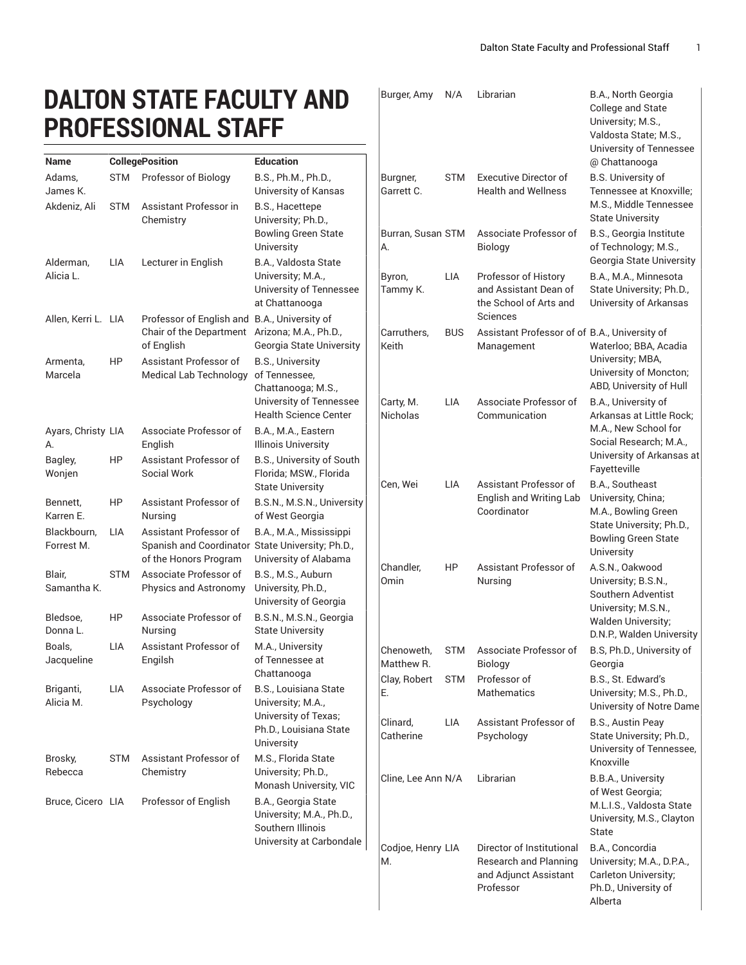College and State University; M.S.,

Burger, Amy N/A Librarian B.A., North Georgia

## **DALTON STATE FACULTY AND PROFESSIONAL STAFF**

|                           |            | <u>IIUI LUUIUINLUINI I</u>                                                                                  |                                                                                                  |                          |            |                                                                                                 | Valdosta State; M.S.,<br>University of Tennessee                                                        |
|---------------------------|------------|-------------------------------------------------------------------------------------------------------------|--------------------------------------------------------------------------------------------------|--------------------------|------------|-------------------------------------------------------------------------------------------------|---------------------------------------------------------------------------------------------------------|
| Name                      |            | <b>CollegePosition</b>                                                                                      | <b>Education</b>                                                                                 |                          |            |                                                                                                 | @ Chattanooga                                                                                           |
| Adams,<br>James K.        | STM        | Professor of Biology                                                                                        | B.S., Ph.M., Ph.D.,<br>University of Kansas                                                      | Burgner,<br>Garrett C.   | <b>STM</b> | <b>Executive Director of</b><br><b>Health and Wellness</b>                                      | B.S. University of<br>Tennessee at Knoxville;                                                           |
| Akdeniz, Ali              | <b>STM</b> | Assistant Professor in<br>Chemistry                                                                         | B.S., Hacettepe<br>University; Ph.D.,                                                            |                          |            |                                                                                                 | M.S., Middle Tennessee<br><b>State University</b>                                                       |
| Alderman,                 | LIA        | Lecturer in English                                                                                         | <b>Bowling Green State</b><br>University<br>B.A., Valdosta State                                 | Burran, Susan STM<br>А.  |            | Associate Professor of<br><b>Biology</b>                                                        | B.S., Georgia Institute<br>of Technology; M.S.,<br>Georgia State University                             |
| Alicia L.                 |            |                                                                                                             | University; M.A.,<br>University of Tennessee<br>at Chattanooga                                   | Byron,<br>Tammy K.       | LIA        | Professor of History<br>and Assistant Dean of<br>the School of Arts and                         | B.A., M.A., Minnesota<br>State University; Ph.D.,<br>University of Arkansas                             |
| Allen, Kerri L. LIA       |            | Professor of English and B.A., University of<br>Chair of the Department Arizona; M.A., Ph.D.,<br>of English | Georgia State University                                                                         | Carruthers,<br>Keith     | <b>BUS</b> | Sciences<br>Assistant Professor of of B.A., University of<br>Management                         | Waterloo; BBA, Acadia                                                                                   |
| Armenta,<br>Marcela       | HP         | Assistant Professor of<br><b>Medical Lab Technology</b>                                                     | <b>B.S., University</b><br>of Tennessee,<br>Chattanooga; M.S.,                                   |                          |            |                                                                                                 | University; MBA,<br>University of Moncton;<br>ABD, University of Hull                                   |
|                           |            |                                                                                                             | University of Tennessee<br><b>Health Science Center</b>                                          | Carty, M.<br>Nicholas    | <b>LIA</b> | Associate Professor of<br>Communication                                                         | B.A., University of<br>Arkansas at Little Rock;                                                         |
| Ayars, Christy LIA<br>А.  |            | Associate Professor of<br>English                                                                           | B.A., M.A., Eastern<br><b>Illinois University</b>                                                |                          |            |                                                                                                 | M.A., New School for<br>Social Research; M.A.,<br>University of Arkansas at                             |
| Bagley,<br>Wonjen         | HP         | Assistant Professor of<br>Social Work                                                                       | B.S., University of South<br>Florida; MSW., Florida<br><b>State University</b>                   | Cen, Wei                 | LIA        | Assistant Professor of                                                                          | Fayetteville<br>B.A., Southeast                                                                         |
| Bennett,<br>Karren E.     | HP         | Assistant Professor of<br>Nursing                                                                           | B.S.N., M.S.N., University<br>of West Georgia                                                    |                          |            | English and Writing Lab<br>Coordinator                                                          | University, China;<br>M.A., Bowling Green                                                               |
| Blackbourn,<br>Forrest M. | LIA        | Assistant Professor of<br>Spanish and Coordinator State University; Ph.D.,<br>of the Honors Program         | B.A., M.A., Mississippi<br>University of Alabama                                                 |                          |            |                                                                                                 | State University; Ph.D.,<br><b>Bowling Green State</b><br>University                                    |
| Blair,<br>Samantha K.     | <b>STM</b> | Associate Professor of<br>Physics and Astronomy                                                             | B.S., M.S., Auburn<br>University, Ph.D.,<br>University of Georgia                                | Chandler,<br>Omin        | HP         | Assistant Professor of<br>Nursing                                                               | A.S.N., Oakwood<br>University; B.S.N.,<br>Southern Adventist<br>University; M.S.N.,                     |
| Bledsoe,<br>Donna L.      | HP         | Associate Professor of<br>Nursing                                                                           | B.S.N., M.S.N., Georgia<br><b>State University</b>                                               |                          |            |                                                                                                 | Walden University;<br>D.N.P., Walden University                                                         |
| Boals,<br>Jacqueline      | <b>LIA</b> | Assistant Professor of<br>Engilsh                                                                           | M.A., University<br>of Tennessee at<br>Chattanooga                                               | Chenoweth.<br>Matthew R. | <b>STM</b> | Associate Professor of<br><b>Biology</b>                                                        | B.S, Ph.D., University of<br>Georgia                                                                    |
| Briganti,<br>Alicia M.    | LIA        | Associate Professor of<br>Psychology                                                                        | <b>B.S., Louisiana State</b><br>University; M.A.,                                                | E.                       |            | Clay, Robert STM Professor of<br>Mathematics                                                    | B.S., St. Edward's<br>University; M.S., Ph.D.,<br>University of Notre Dame                              |
|                           |            |                                                                                                             | University of Texas;<br>Ph.D., Louisiana State<br>University                                     | Clinard,<br>Catherine    | <b>LIA</b> | Assistant Professor of<br>Psychology                                                            | B.S., Austin Peay<br>State University; Ph.D.,<br>University of Tennessee,                               |
| Brosky,<br>Rebecca        | <b>STM</b> | Assistant Professor of<br>Chemistry                                                                         | M.S., Florida State<br>University; Ph.D.,<br>Monash University, VIC                              | Cline, Lee Ann N/A       |            | Librarian                                                                                       | Knoxville<br>B.B.A., University                                                                         |
| Bruce, Cicero LIA         |            | Professor of English                                                                                        | B.A., Georgia State<br>University; M.A., Ph.D.,<br>Southern Illinois<br>University at Carbondale |                          |            |                                                                                                 | of West Georgia;<br>M.L.I.S., Valdosta State<br>University, M.S., Clayton<br>State                      |
|                           |            |                                                                                                             |                                                                                                  | Codjoe, Henry LIA<br>М.  |            | Director of Institutional<br><b>Research and Planning</b><br>and Adjunct Assistant<br>Professor | B.A., Concordia<br>University; M.A., D.P.A.,<br>Carleton University;<br>Ph.D., University of<br>Alberta |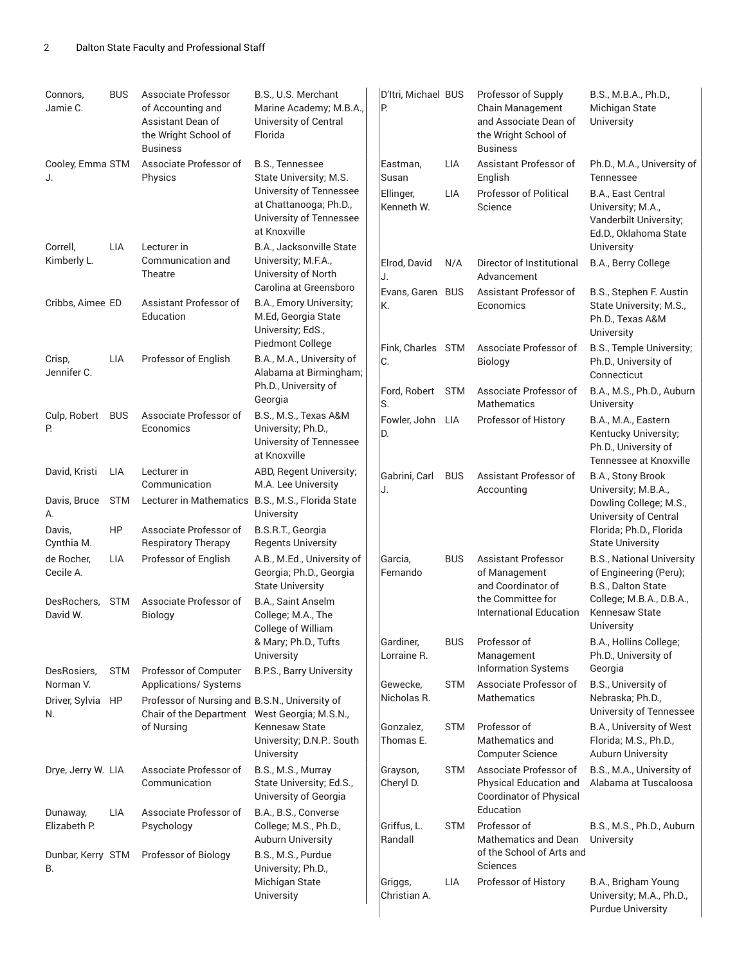| Connors,<br>Jamie C.     | <b>BUS</b> | Associate Professor<br>of Accounting and<br>Assistant Dean of<br>the Wright School of<br><b>Business</b> | B.S., U.S. Merchant<br>Marine Academy; M.B.A.,<br>University of Central<br>Florida                                                        | D'Itri, Michael BUS<br>Р.                    |                   | Professor of Supply<br>Chain Management<br>and Associate Dean of<br>the Wright School of<br><b>Business</b> | B.S., M.B.A., Ph.D.,<br>Michigan State<br>University                                                                                  |
|--------------------------|------------|----------------------------------------------------------------------------------------------------------|-------------------------------------------------------------------------------------------------------------------------------------------|----------------------------------------------|-------------------|-------------------------------------------------------------------------------------------------------------|---------------------------------------------------------------------------------------------------------------------------------------|
| Cooley, Emma STM<br>J.   |            | Associate Professor of<br>Physics                                                                        | B.S., Tennessee<br>State University, M.S.<br>University of Tennessee<br>at Chattanooga; Ph.D.,<br>University of Tennessee<br>at Knoxville | Eastman,<br>Susan<br>Ellinger,<br>Kenneth W. | LIA<br><b>LIA</b> | Assistant Professor of<br>English<br><b>Professor of Political</b><br>Science                               | Ph.D., M.A., University of<br>Tennessee<br>B.A., East Central<br>University; M.A.,<br>Vanderbilt University;<br>Ed.D., Oklahoma State |
| Correll,<br>Kimberly L.  | LIA        | Lecturer in<br>Communication and<br>Theatre                                                              | B.A., Jacksonville State<br>University; M.F.A.,<br>University of North<br>Carolina at Greensboro                                          | Elrod, David<br>J.                           | N/A               | Director of Institutional<br>Advancement                                                                    | University<br>B.A., Berry College                                                                                                     |
| Cribbs, Aimee ED         |            | Assistant Professor of<br>Education                                                                      | B.A., Emory University;<br>M.Ed, Georgia State<br>University; EdS.,                                                                       | Evans, Garen BUS<br>K.                       |                   | Assistant Professor of<br>Economics                                                                         | B.S., Stephen F. Austin<br>State University; M.S.,<br>Ph.D., Texas A&M<br>University                                                  |
| Crisp,<br>Jennifer C.    | LIA        | Professor of English                                                                                     | Piedmont College<br>B.A., M.A., University of<br>Alabama at Birmingham;<br>Ph.D., University of                                           | Fink, Charles STM<br>C.                      |                   | Associate Professor of<br>Biology                                                                           | B.S., Temple University;<br>Ph.D., University of<br>Connecticut                                                                       |
|                          |            |                                                                                                          | Georgia                                                                                                                                   | Ford. Robert STM<br>S.                       |                   | Associate Professor of<br>Mathematics                                                                       | B.A., M.S., Ph.D., Auburn<br>University                                                                                               |
| Culp, Robert<br>P.       | <b>BUS</b> | Associate Professor of<br>Economics                                                                      | B.S., M.S., Texas A&M<br>University; Ph.D.,<br>University of Tennessee<br>at Knoxville                                                    | Fowler, John LIA<br>D.                       |                   | Professor of History                                                                                        | B.A., M.A., Eastern<br>Kentucky University;<br>Ph.D., University of<br>Tennessee at Knoxville                                         |
| David, Kristi            | LIA        | Lecturer in<br>Communication                                                                             | ABD, Regent University;<br>M.A. Lee University                                                                                            | Gabrini, Carl                                | <b>BUS</b>        | Assistant Professor of                                                                                      | B.A., Stony Brook                                                                                                                     |
| Davis, Bruce<br>A.       | <b>STM</b> | Lecturer in Mathematics B.S., M.S., Florida State                                                        | University                                                                                                                                | J.                                           |                   | Accounting                                                                                                  | University; M.B.A.,<br>Dowling College; M.S.,<br>University of Central                                                                |
| Davis,<br>Cynthia M.     | HP         | Associate Professor of<br><b>Respiratory Therapy</b>                                                     | B.S.R.T., Georgia<br><b>Regents University</b>                                                                                            |                                              |                   |                                                                                                             | Florida; Ph.D., Florida<br><b>State University</b>                                                                                    |
| de Rocher,<br>Cecile A.  | <b>LIA</b> | Professor of English                                                                                     | A.B., M.Ed., University of<br>Georgia; Ph.D., Georgia<br><b>State University</b>                                                          | Garcia,<br>Fernando                          | <b>BUS</b>        | <b>Assistant Professor</b><br>of Management<br>and Coordinator of                                           | <b>B.S., National University</b><br>of Engineering (Peru);<br>B.S., Dalton State                                                      |
| DesRochers,<br>David W.  | <b>STM</b> | Associate Professor of<br>Biology                                                                        | B.A., Saint Anselm<br>College; M.A., The<br>College of William                                                                            |                                              |                   | the Committee for<br><b>International Education</b>                                                         | College; M.B.A., D.B.A.,<br>Kennesaw State<br>University                                                                              |
|                          |            |                                                                                                          | & Mary; Ph.D., Tufts<br>University                                                                                                        | Gardiner,<br>Lorraine R.                     | <b>BUS</b>        | Professor of<br>Management                                                                                  | B.A., Hollins College;<br>Ph.D., University of                                                                                        |
| DesRosiers,<br>Norman V. | <b>STM</b> | Professor of Computer<br>Applications/ Systems                                                           | B.P.S., Barry University                                                                                                                  | Gewecke,                                     | <b>STM</b>        | <b>Information Systems</b><br>Associate Professor of                                                        | Georgia<br>B.S., University of                                                                                                        |
| Driver, Sylvia<br>N.     | HP         | Professor of Nursing and B.S.N., University of<br>Chair of the Department West Georgia; M.S.N.,          |                                                                                                                                           | Nicholas R.                                  |                   | <b>Mathematics</b>                                                                                          | Nebraska; Ph.D.,<br>University of Tennessee                                                                                           |
|                          |            | of Nursing                                                                                               | Kennesaw State<br>University; D.N.P. South<br>University                                                                                  | Gonzalez,<br>Thomas E.                       | <b>STM</b>        | Professor of<br>Mathematics and<br><b>Computer Science</b>                                                  | B.A., University of West<br>Florida; M.S., Ph.D.,<br><b>Auburn University</b>                                                         |
| Drye, Jerry W. LIA       |            | Associate Professor of<br>Communication                                                                  | B.S., M.S., Murray<br>State University; Ed.S.,<br>University of Georgia                                                                   | Grayson,<br>Cheryl D.                        | <b>STM</b>        | Associate Professor of<br>Physical Education and<br><b>Coordinator of Physical</b>                          | B.S., M.A., University of<br>Alabama at Tuscaloosa                                                                                    |
| Dunaway,<br>Elizabeth P. | LIA        | Associate Professor of<br>Psychology                                                                     | B.A., B.S., Converse<br>College; M.S., Ph.D.,<br>Auburn University                                                                        | Griffus, L.<br>Randall                       | <b>STM</b>        | Education<br>Professor of<br>Mathematics and Dean                                                           | B.S., M.S., Ph.D., Auburn<br>University                                                                                               |
| Dunbar, Kerry STM<br>B.  |            | Professor of Biology                                                                                     | B.S., M.S., Purdue<br>University; Ph.D.,                                                                                                  |                                              |                   | of the School of Arts and<br>Sciences                                                                       |                                                                                                                                       |
|                          |            |                                                                                                          | Michigan State<br>University                                                                                                              | Griggs,<br>Christian A.                      | <b>LIA</b>        | Professor of History                                                                                        | B.A., Brigham Young<br>University; M.A., Ph.D.,<br><b>Purdue University</b>                                                           |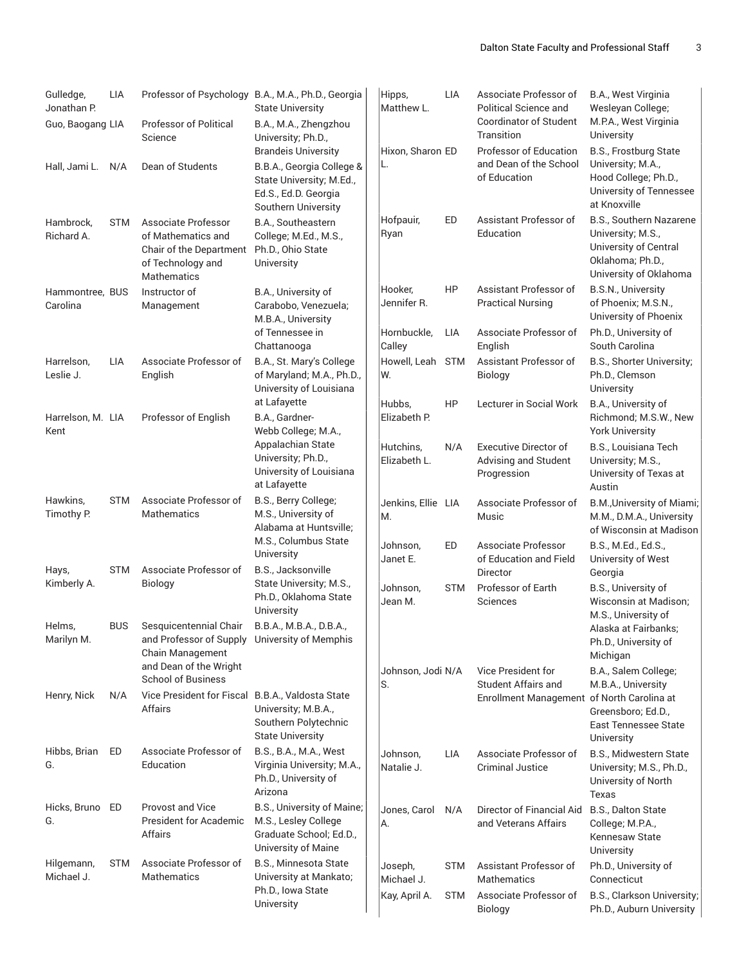| Gulledge,<br>Jonathan P.<br>Guo, Baogang LIA | LIA        | <b>Professor of Political</b><br>Science                                                                                     | Professor of Psychology B.A., M.A., Ph.D., Georgia<br><b>State University</b><br>B.A., M.A., Zhengzhou<br>University; Ph.D.,       | Hipps,<br>Matthew L.      | LIA        | Associate Professor of<br><b>Political Science and</b><br><b>Coordinator of Student</b><br>Transition | B.A., West Virginia<br>Wesleyan College;<br>M.P.A., West Virginia<br>University                                            |
|----------------------------------------------|------------|------------------------------------------------------------------------------------------------------------------------------|------------------------------------------------------------------------------------------------------------------------------------|---------------------------|------------|-------------------------------------------------------------------------------------------------------|----------------------------------------------------------------------------------------------------------------------------|
| Hall, Jami L.                                | N/A        | Dean of Students                                                                                                             | <b>Brandeis University</b><br>B.B.A., Georgia College &<br>State University; M.Ed.,<br>Ed.S., Ed.D. Georgia<br>Southern University | Hixon, Sharon ED<br>L.    |            | Professor of Education<br>and Dean of the School<br>of Education                                      | B.S., Frostburg State<br>University, M.A.,<br>Hood College; Ph.D.,<br>University of Tennessee<br>at Knoxville              |
| Hambrock,<br>Richard A.                      | <b>STM</b> | Associate Professor<br>of Mathematics and<br>Chair of the Department<br>of Technology and<br>Mathematics                     | B.A., Southeastern<br>College; M.Ed., M.S.,<br>Ph.D., Ohio State<br>University                                                     | Hofpauir,<br>Ryan         | ED         | Assistant Professor of<br>Education                                                                   | <b>B.S., Southern Nazarene</b><br>University; M.S.,<br>University of Central<br>Oklahoma; Ph.D.,<br>University of Oklahoma |
| Hammontree, BUS<br>Carolina                  |            | Instructor of<br>Management                                                                                                  | B.A., University of<br>Carabobo, Venezuela;<br>M.B.A., University                                                                  | Hooker,<br>Jennifer R.    | HP         | Assistant Professor of<br><b>Practical Nursing</b>                                                    | <b>B.S.N., University</b><br>of Phoenix; M.S.N.,<br>University of Phoenix                                                  |
|                                              |            |                                                                                                                              | of Tennessee in<br>Chattanooga                                                                                                     | Hornbuckle,<br>Calley     | <b>LIA</b> | Associate Professor of<br>English                                                                     | Ph.D., University of<br>South Carolina                                                                                     |
| Harrelson,<br>Leslie J.                      | LIA        | Associate Professor of<br>English                                                                                            | B.A., St. Mary's College<br>of Maryland; M.A., Ph.D.,<br>University of Louisiana                                                   | Howell, Leah STM<br>W.    |            | Assistant Professor of<br>Biology                                                                     | B.S., Shorter University;<br>Ph.D., Clemson<br>University                                                                  |
| Harrelson, M. LIA<br>Kent                    |            | Professor of English                                                                                                         | at Lafayette<br>B.A., Gardner-<br>Webb College; M.A.,                                                                              | Hubbs.<br>Elizabeth P.    | HP         | <b>Lecturer in Social Work</b>                                                                        | B.A., University of<br>Richmond; M.S.W., New<br><b>York University</b>                                                     |
|                                              |            |                                                                                                                              | Appalachian State<br>University; Ph.D.,<br>University of Louisiana<br>at Lafayette                                                 | Hutchins,<br>Elizabeth L. | N/A        | <b>Executive Director of</b><br>Advising and Student<br>Progression                                   | B.S., Louisiana Tech<br>University; M.S.,<br>University of Texas at<br>Austin                                              |
| Hawkins,<br>Timothy P.                       | <b>STM</b> | Associate Professor of<br><b>Mathematics</b>                                                                                 | B.S., Berry College;<br>M.S., University of<br>Alabama at Huntsville;                                                              | Jenkins, Ellie LIA<br>M.  |            | Associate Professor of<br>Music                                                                       | B.M., University of Miami;<br>M.M., D.M.A., University<br>of Wisconsin at Madison                                          |
| Hays,                                        | STM        | Associate Professor of                                                                                                       | M.S., Columbus State<br>University<br>B.S., Jacksonville                                                                           | Johnson,<br>Janet E.      | ED         | Associate Professor<br>of Education and Field                                                         | B.S., M.Ed., Ed.S.,<br>University of West                                                                                  |
| Kimberly A.                                  |            | Biology                                                                                                                      | State University; M.S.,<br>Ph.D., Oklahoma State<br>University                                                                     | Johnson,<br>Jean M.       | <b>STM</b> | <b>Director</b><br>Professor of Earth<br>Sciences                                                     | Georgia<br>B.S., University of<br>Wisconsin at Madison;<br>M.S., University of                                             |
| Helms,<br>Marilyn M.                         | <b>BUS</b> | Sesquicentennial Chair<br>and Professor of Supply University of Memphis<br><b>Chain Management</b><br>and Dean of the Wright | B.B.A., M.B.A., D.B.A.,                                                                                                            | Johnson, Jodi N/A         |            | Vice President for                                                                                    | Alaska at Fairbanks;<br>Ph.D., University of<br>Michigan<br>B.A., Salem College;                                           |
| Henry, Nick                                  | N/A        | <b>School of Business</b><br>Vice President for Fiscal B.B.A., Valdosta State                                                |                                                                                                                                    | S.                        |            | <b>Student Affairs and</b><br>Enrollment Management of North Carolina at                              | M.B.A., University                                                                                                         |
|                                              |            | Affairs                                                                                                                      | University; M.B.A.,<br>Southern Polytechnic<br><b>State University</b>                                                             |                           |            |                                                                                                       | Greensboro; Ed.D.,<br><b>East Tennessee State</b><br>University                                                            |
| Hibbs, Brian<br>G.                           | ED         | Associate Professor of<br>Education                                                                                          | B.S., B.A., M.A., West<br>Virginia University; M.A.,<br>Ph.D., University of<br>Arizona                                            | Johnson,<br>Natalie J.    | <b>LIA</b> | Associate Professor of<br><b>Criminal Justice</b>                                                     | B.S., Midwestern State<br>University; M.S., Ph.D.,<br>University of North<br>Texas                                         |
| Hicks, Bruno ED<br>G.                        |            | <b>Provost and Vice</b><br><b>President for Academic</b><br>Affairs                                                          | B.S., University of Maine;<br>M.S., Lesley College<br>Graduate School; Ed.D.,<br>University of Maine                               | Jones, Carol<br>А.        | N/A        | Director of Financial Aid<br>and Veterans Affairs                                                     | B.S., Dalton State<br>College; M.P.A.,<br>Kennesaw State<br>University                                                     |
| Hilgemann,<br>Michael J.                     | <b>STM</b> | Associate Professor of<br>Mathematics                                                                                        | <b>B.S., Minnesota State</b><br>University at Mankato;                                                                             | Joseph,<br>Michael J.     | STM        | Assistant Professor of<br><b>Mathematics</b>                                                          | Ph.D., University of<br>Connecticut                                                                                        |
|                                              |            |                                                                                                                              | Ph.D., Iowa State<br>University                                                                                                    | Kay, April A.             | STM        | Associate Professor of<br>Biology                                                                     | B.S., Clarkson University;<br>Ph.D., Auburn University                                                                     |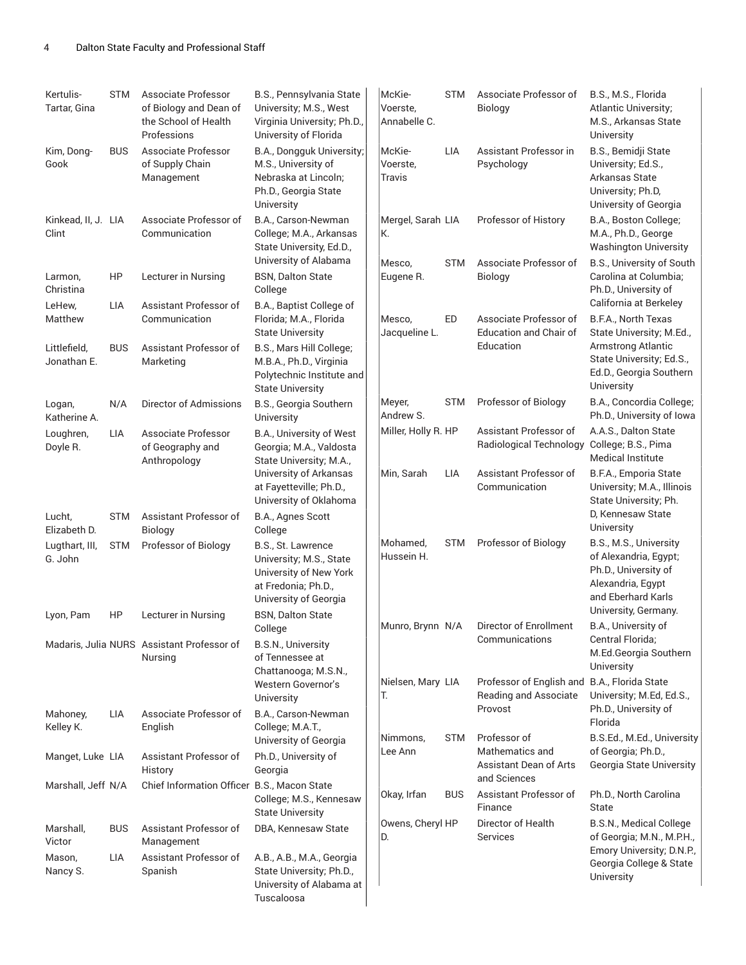| Kertulis-<br>Tartar, Gina    | <b>STM</b> | Associate Professor<br>of Biology and Dean of<br>the School of Health<br>Professions | B.S., Pennsylvania State<br>University; M.S., West<br>Virginia University; Ph.D.,<br>University of Florida              | McKie-<br>Voerste.<br>Annabelle C. | <b>STM</b> | Associate Professor of<br><b>Biology</b>                                         | B.S., M.S., Florida<br>Atlantic University;<br>M.S., Arkansas State<br>University                                  |
|------------------------------|------------|--------------------------------------------------------------------------------------|-------------------------------------------------------------------------------------------------------------------------|------------------------------------|------------|----------------------------------------------------------------------------------|--------------------------------------------------------------------------------------------------------------------|
| Kim, Dong-<br>Gook           | <b>BUS</b> | Associate Professor<br>of Supply Chain<br>Management                                 | B.A., Dongguk University;<br>M.S., University of<br>Nebraska at Lincoln;<br>Ph.D., Georgia State<br>University          | McKie-<br>Voerste,<br>Travis       | LIA        | Assistant Professor in<br>Psychology                                             | B.S., Bemidji State<br>University; Ed.S.,<br>Arkansas State<br>University; Ph.D,<br>University of Georgia          |
| Kinkead, II, J. LIA<br>Clint |            | Associate Professor of<br>Communication                                              | B.A., Carson-Newman<br>College; M.A., Arkansas<br>State University, Ed.D.,                                              | Mergel, Sarah LIA<br>К.            |            | Professor of History                                                             | B.A., Boston College;<br>M.A., Ph.D., George<br><b>Washington University</b>                                       |
| Larmon,<br>Christina         | HP         | Lecturer in Nursing                                                                  | University of Alabama<br><b>BSN, Dalton State</b><br>College                                                            | Mesco.<br>Eugene R.                | <b>STM</b> | Associate Professor of<br><b>Biology</b>                                         | B.S., University of South<br>Carolina at Columbia;<br>Ph.D., University of                                         |
| LeHew,<br>Matthew            | LIA        | Assistant Professor of<br>Communication                                              | B.A., Baptist College of<br>Florida; M.A., Florida<br><b>State University</b>                                           | Mesco,<br>Jacqueline L.            | ED         | Associate Professor of<br><b>Education and Chair of</b>                          | California at Berkeley<br>B.F.A., North Texas<br>State University; M.Ed.,                                          |
| Littlefield,<br>Jonathan E.  | <b>BUS</b> | Assistant Professor of<br>Marketing                                                  | B.S., Mars Hill College;<br>M.B.A., Ph.D., Virginia<br>Polytechnic Institute and<br><b>State University</b>             |                                    |            | Education                                                                        | <b>Armstrong Atlantic</b><br>State University; Ed.S.,<br>Ed.D., Georgia Southern<br>University                     |
| Logan,<br>Katherine A.       | N/A        | Director of Admissions                                                               | B.S., Georgia Southern<br>University                                                                                    | Meyer,<br>Andrew S.                | STM        | Professor of Biology                                                             | B.A., Concordia College;<br>Ph.D., University of Iowa                                                              |
| Loughren,<br>Doyle R.        | LIA        | Associate Professor<br>of Geography and<br>Anthropology                              | B.A., University of West<br>Georgia; M.A., Valdosta<br>State University; M.A.,                                          | Miller, Holly R. HP                |            | Assistant Professor of<br>Radiological Technology                                | A.A.S., Dalton State<br>College; B.S., Pima<br><b>Medical Institute</b>                                            |
|                              |            |                                                                                      | University of Arkansas<br>at Fayetteville; Ph.D.,<br>University of Oklahoma                                             | Min, Sarah                         | LIA        | Assistant Professor of<br>Communication                                          | B.F.A., Emporia State<br>University; M.A., Illinois<br>State University, Ph.                                       |
| Lucht,<br>Elizabeth D.       | <b>STM</b> | Assistant Professor of<br>Biology                                                    | B.A., Agnes Scott<br>College                                                                                            |                                    |            |                                                                                  | D, Kennesaw State<br>University                                                                                    |
| Lugthart, III,<br>G. John    | <b>STM</b> | Professor of Biology                                                                 | B.S., St. Lawrence<br>University; M.S., State<br>University of New York<br>at Fredonia; Ph.D.,<br>University of Georgia | Mohamed,<br>Hussein H.             | <b>STM</b> | Professor of Biology                                                             | B.S., M.S., University<br>of Alexandria, Egypt;<br>Ph.D., University of<br>Alexandria, Egypt<br>and Eberhard Karls |
| Lyon, Pam                    | HP         | Lecturer in Nursing                                                                  | <b>BSN. Dalton State</b><br>College                                                                                     | Munro, Brynn N/A                   |            | Director of Enrollment                                                           | University, Germany.<br>B.A., University of                                                                        |
|                              |            | Madaris, Julia NURS Assistant Professor of<br>Nursing                                | <b>B.S.N., University</b><br>of Tennessee at<br>Chattanooga; M.S.N.,                                                    |                                    |            | Communications                                                                   | Central Florida;<br>M.Ed.Georgia Southern<br>University                                                            |
|                              |            |                                                                                      | Western Governor's<br>University                                                                                        | Nielsen, Mary LIA<br>Т.            |            | Professor of English and B.A., Florida State<br>Reading and Associate<br>Provost | University; M.Ed, Ed.S.,<br>Ph.D., University of                                                                   |
| Mahoney,<br>Kelley K.        | LIA        | Associate Professor of<br>English                                                    | B.A., Carson-Newman<br>College; M.A.T.,<br>University of Georgia                                                        | Nimmons,                           | STM        | Professor of                                                                     | Florida<br>B.S.Ed., M.Ed., University                                                                              |
| Manget, Luke LIA             |            | Assistant Professor of<br>History                                                    | Ph.D., University of<br>Georgia                                                                                         | Lee Ann                            |            | Mathematics and<br>Assistant Dean of Arts                                        | of Georgia; Ph.D.,<br>Georgia State University                                                                     |
| Marshall, Jeff N/A           |            | Chief Information Officer B.S., Macon State                                          | College; M.S., Kennesaw<br><b>State University</b>                                                                      | Okay, Irfan                        | <b>BUS</b> | and Sciences<br>Assistant Professor of<br>Finance                                | Ph.D., North Carolina<br>State                                                                                     |
| Marshall,<br>Victor          | <b>BUS</b> | Assistant Professor of<br>Management                                                 | DBA, Kennesaw State                                                                                                     | Owens, Cheryl HP<br>D.             |            | Director of Health<br>Services                                                   | B.S.N., Medical College<br>of Georgia; M.N., M.P.H.,                                                               |
| Mason,<br>Nancy S.           | LIA        | Assistant Professor of<br>Spanish                                                    | A.B., A.B., M.A., Georgia<br>State University; Ph.D.,<br>University of Alabama at<br>Tuscaloosa                         |                                    |            |                                                                                  | Emory University; D.N.P.,<br>Georgia College & State<br>University                                                 |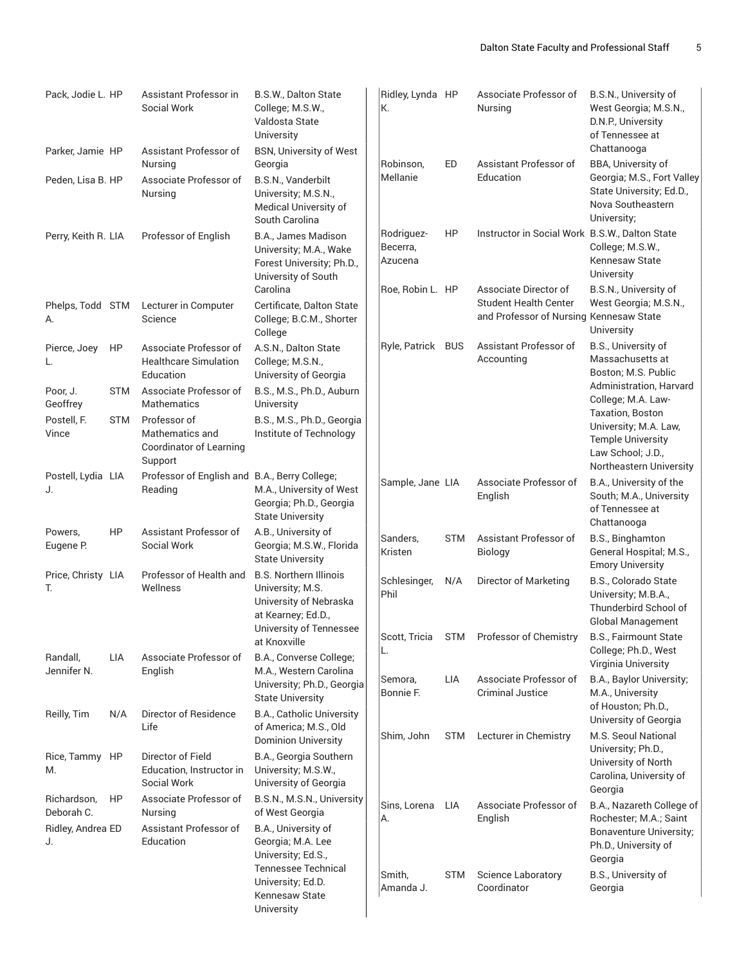| Pack, Jodie L. HP         |            | Assistant Professor in<br>Social Work                                 | B.S.W., Dalton State<br>College; M.S.W.,<br>Valdosta State<br>University                                                     | Ridley, Lynda HP<br>К.            |            | Associate Professor of<br>Nursing                                                                | B.S.N., University of<br>West Georgia; M.S.N.,<br>D.N.P., University<br>of Tennessee at                               |
|---------------------------|------------|-----------------------------------------------------------------------|------------------------------------------------------------------------------------------------------------------------------|-----------------------------------|------------|--------------------------------------------------------------------------------------------------|-----------------------------------------------------------------------------------------------------------------------|
| Parker, Jamie HP          |            | Assistant Professor of<br>Nursing                                     | <b>BSN, University of West</b><br>Georgia                                                                                    | Robinson,                         | ED         | Assistant Professor of                                                                           | Chattanooga<br>BBA, University of                                                                                     |
| Peden, Lisa B. HP         |            | Associate Professor of<br>Nursing                                     | B.S.N., Vanderbilt<br>University; M.S.N.,<br>Medical University of<br>South Carolina                                         | Mellanie                          |            | Education                                                                                        | Georgia; M.S., Fort Valley<br>State University; Ed.D.,<br>Nova Southeastern<br>University;                            |
| Perry, Keith R. LIA       |            | Professor of English                                                  | B.A., James Madison<br>University; M.A., Wake<br>Forest University; Ph.D.,<br>University of South                            | Rodriguez-<br>Becerra,<br>Azucena | HP         | Instructor in Social Work B.S.W., Dalton State                                                   | College; M.S.W.,<br>Kennesaw State<br>University                                                                      |
| Phelps, Todd STM<br>А.    |            | Lecturer in Computer<br>Science                                       | Carolina<br>Certificate, Dalton State<br>College; B.C.M., Shorter<br>College                                                 | Roe, Robin L. HP                  |            | Associate Director of<br><b>Student Health Center</b><br>and Professor of Nursing Kennesaw State | B.S.N., University of<br>West Georgia; M.S.N.,<br>University                                                          |
| Pierce, Joey<br>L.        | HP         | Associate Professor of<br><b>Healthcare Simulation</b><br>Education   | A.S.N., Dalton State<br>College; M.S.N.,<br>University of Georgia                                                            | Ryle, Patrick BUS                 |            | Assistant Professor of<br>Accounting                                                             | B.S., University of<br>Massachusetts at<br>Boston; M.S. Public                                                        |
| Poor, J.<br>Geoffrey      | <b>STM</b> | Associate Professor of<br>Mathematics                                 | B.S., M.S., Ph.D., Auburn<br>University                                                                                      |                                   |            |                                                                                                  | Administration, Harvard<br>College; M.A. Law-                                                                         |
| Postell, F.<br>Vince      | <b>STM</b> | Professor of<br>Mathematics and<br>Coordinator of Learning<br>Support | B.S., M.S., Ph.D., Georgia<br>Institute of Technology                                                                        |                                   |            |                                                                                                  | Taxation, Boston<br>University; M.A. Law,<br><b>Temple University</b><br>Law School; J.D.,<br>Northeastern University |
| Postell, Lydia LIA<br>J.  |            | Professor of English and B.A., Berry College;<br>Reading              | M.A., University of West<br>Georgia; Ph.D., Georgia<br><b>State University</b>                                               | Sample, Jane LIA                  |            | Associate Professor of<br>English                                                                | B.A., University of the<br>South; M.A., University<br>of Tennessee at<br>Chattanooga                                  |
| Powers,<br>Eugene P.      | <b>HP</b>  | Assistant Professor of<br>Social Work                                 | A.B., University of<br>Georgia; M.S.W., Florida<br><b>State University</b>                                                   | Sanders,<br>Kristen               | <b>STM</b> | Assistant Professor of<br>Biology                                                                | B.S., Binghamton<br>General Hospital; M.S.,<br><b>Emory University</b>                                                |
| Price, Christy LIA<br>T.  |            | Professor of Health and<br>Wellness                                   | <b>B.S. Northern Illinois</b><br>University; M.S.<br>University of Nebraska<br>at Kearney; Ed.D.,<br>University of Tennessee | Schlesinger,<br>Phil              | N/A        | Director of Marketing                                                                            | B.S., Colorado State<br>University; M.B.A.,<br>Thunderbird School of<br><b>Global Management</b>                      |
| Randall,                  | LIA        | Associate Professor of                                                | at Knoxville<br>B.A., Converse College;                                                                                      | L.                                |            | Scott, Tricia STM Professor of Chemistry                                                         | B.S., Fairmount State<br>College; Ph.D., West                                                                         |
| Jennifer N.               |            | English                                                               | M.A., Western Carolina<br>University; Ph.D., Georgia<br><b>State University</b>                                              | Semora,<br>Bonnie F.              | LIA        | Associate Professor of<br><b>Criminal Justice</b>                                                | Virginia University<br>B.A., Baylor University;<br>M.A., University<br>of Houston; Ph.D.,                             |
| Reilly, Tim               | N/A        | Director of Residence<br>Life                                         | B.A., Catholic University<br>of America; M.S., Old<br><b>Dominion University</b>                                             | Shim, John                        | <b>STM</b> | Lecturer in Chemistry                                                                            | University of Georgia<br>M.S. Seoul National                                                                          |
| Rice, Tammy HP<br>М.      |            | Director of Field<br>Education, Instructor in<br>Social Work          | B.A., Georgia Southern<br>University; M.S.W.,<br>University of Georgia                                                       |                                   |            |                                                                                                  | University; Ph.D.,<br>University of North<br>Carolina, University of<br>Georgia                                       |
| Richardson,<br>Deborah C. | HP         | Associate Professor of<br>Nursing                                     | B.S.N., M.S.N., University<br>of West Georgia                                                                                | Sins, Lorena<br>А.                | LIA        | Associate Professor of<br>English                                                                | B.A., Nazareth College of<br>Rochester; M.A.; Saint                                                                   |
| Ridley, Andrea ED<br>J.   |            | Assistant Professor of<br>Education                                   | B.A., University of<br>Georgia; M.A. Lee<br>University; Ed.S.,<br><b>Tennessee Technical</b>                                 |                                   |            |                                                                                                  | Bonaventure University;<br>Ph.D., University of<br>Georgia                                                            |
|                           |            |                                                                       | University; Ed.D.<br>Kennesaw State<br>University                                                                            | Smith,<br>Amanda J.               | <b>STM</b> | <b>Science Laboratory</b><br>Coordinator                                                         | B.S., University of<br>Georgia                                                                                        |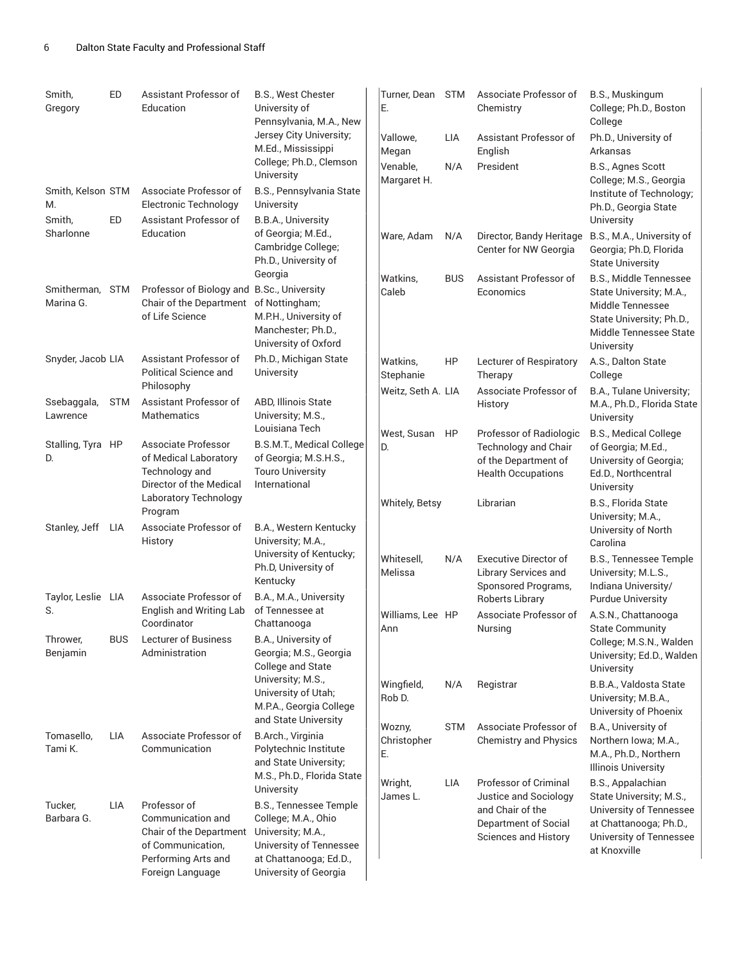| Smith,<br>Gregory                 | ED         | Assistant Professor of<br>Education                                                                                          | B.S., West Chester<br>University of<br>Pennsylvania, M.A., New                                                                                                 | Turner, Dean STM<br>Ε.      |            | Associate Professor of<br>Chemistry                                                                                       | B.S., Muskingum<br>College; Ph.D., Boston<br>College                                                                                         |
|-----------------------------------|------------|------------------------------------------------------------------------------------------------------------------------------|----------------------------------------------------------------------------------------------------------------------------------------------------------------|-----------------------------|------------|---------------------------------------------------------------------------------------------------------------------------|----------------------------------------------------------------------------------------------------------------------------------------------|
|                                   |            |                                                                                                                              | Jersey City University;<br>M.Ed., Mississippi                                                                                                                  | Vallowe,<br>Megan           | LIA        | Assistant Professor of<br>English                                                                                         | Ph.D., University of<br>Arkansas                                                                                                             |
| Smith, Kelson STM<br>M.<br>Smith, | ED         | Associate Professor of<br><b>Electronic Technology</b><br>Assistant Professor of                                             | College; Ph.D., Clemson<br>University<br>B.S., Pennsylvania State<br>University<br>B.B.A., University                                                          | Venable,<br>Margaret H.     | N/A        | President                                                                                                                 | B.S., Agnes Scott<br>College; M.S., Georgia<br>Institute of Technology;<br>Ph.D., Georgia State<br>University                                |
| Sharlonne                         |            | Education                                                                                                                    | of Georgia; M.Ed.,<br>Cambridge College;<br>Ph.D., University of                                                                                               | Ware, Adam                  | N/A        | Director, Bandy Heritage<br>Center for NW Georgia                                                                         | B.S., M.A., University of<br>Georgia; Ph.D, Florida<br><b>State University</b>                                                               |
| Smitherman, STM<br>Marina G.      |            | Professor of Biology and B.Sc., University<br>Chair of the Department of Nottingham;<br>of Life Science                      | Georgia<br>M.P.H., University of<br>Manchester; Ph.D.,<br>University of Oxford                                                                                 | Watkins,<br>Caleb           | <b>BUS</b> | Assistant Professor of<br>Economics                                                                                       | B.S., Middle Tennessee<br>State University; M.A.,<br>Middle Tennessee<br>State University; Ph.D.,<br>Middle Tennessee State<br>University    |
| Snyder, Jacob LIA                 |            | Assistant Professor of<br>Political Science and<br>Philosophy                                                                | Ph.D., Michigan State<br>University                                                                                                                            | Watkins,<br>Stephanie       | HP         | Lecturer of Respiratory<br>Therapy                                                                                        | A.S., Dalton State<br>College                                                                                                                |
| Ssebaggala,<br>Lawrence           | <b>STM</b> | Assistant Professor of<br><b>Mathematics</b>                                                                                 | ABD, Illinois State<br>University; M.S.,                                                                                                                       | Weitz, Seth A. LIA          |            | Associate Professor of<br>History                                                                                         | B.A., Tulane University;<br>M.A., Ph.D., Florida State<br>University                                                                         |
| Stalling, Tyra HP<br>D.           |            | Associate Professor<br>of Medical Laboratory<br>Technology and<br>Director of the Medical                                    | Louisiana Tech<br>B.S.M.T., Medical College<br>of Georgia; M.S.H.S.,<br><b>Touro University</b><br>International                                               | West, Susan<br>D.           | HP         | Professor of Radiologic<br>Technology and Chair<br>of the Department of<br><b>Health Occupations</b>                      | B.S., Medical College<br>of Georgia; M.Ed.,<br>University of Georgia;<br>Ed.D., Northcentral<br>University                                   |
| Stanley, Jeff                     | LIA        | Laboratory Technology<br>Program<br>Associate Professor of                                                                   | B.A., Western Kentucky                                                                                                                                         | <b>Whitely, Betsy</b>       |            | Librarian                                                                                                                 | B.S., Florida State<br>University; M.A.,<br>University of North                                                                              |
|                                   |            | History                                                                                                                      | University; M.A.,<br>University of Kentucky;<br>Ph.D, University of<br>Kentucky                                                                                | Whitesell.<br>Melissa       | N/A        | <b>Executive Director of</b><br><b>Library Services and</b><br>Sponsored Programs,                                        | Carolina<br><b>B.S., Tennessee Temple</b><br>University; M.L.S.,<br>Indiana University/                                                      |
| Taylor, Leslie LIA<br>S.          |            | Associate Professor of<br>English and Writing Lab<br>Coordinator                                                             | B.A., M.A., University<br>of Tennessee at<br>Chattanooga                                                                                                       | Williams, Lee HP            |            | Roberts Library<br>Associate Professor of                                                                                 | <b>Purdue University</b><br>A.S.N., Chattanooga                                                                                              |
| Thrower,<br>Benjamin              | <b>BUS</b> | <b>Lecturer of Business</b><br>Administration                                                                                | B.A., University of<br>Georgia; M.S., Georgia<br>College and State                                                                                             | Ann                         |            | Nursing                                                                                                                   | <b>State Community</b><br>College; M.S.N., Walden<br>University; Ed.D., Walden<br>University                                                 |
|                                   |            |                                                                                                                              | University; M.S.,<br>University of Utah;<br>M.P.A., Georgia College<br>and State University                                                                    | Wingfield,<br>Rob D.        | N/A        | Registrar                                                                                                                 | B.B.A., Valdosta State<br>University; M.B.A.,<br>University of Phoenix                                                                       |
| Tomasello,<br>Tami K.             | <b>LIA</b> | Associate Professor of<br>Communication                                                                                      | B.Arch., Virginia<br>Polytechnic Institute<br>and State University;<br>M.S., Ph.D., Florida State                                                              | Wozny,<br>Christopher<br>Е. | STM        | Associate Professor of<br><b>Chemistry and Physics</b>                                                                    | B.A., University of<br>Northern Iowa; M.A.,<br>M.A., Ph.D., Northern<br><b>Illinois University</b>                                           |
| Tucker,<br>Barbara G.             | <b>LIA</b> | Professor of<br>Communication and<br>Chair of the Department<br>of Communication,<br>Performing Arts and<br>Foreign Language | University<br>B.S., Tennessee Temple<br>College; M.A., Ohio<br>University; M.A.,<br>University of Tennessee<br>at Chattanooga; Ed.D.,<br>University of Georgia | Wright,<br>James L.         | <b>LIA</b> | <b>Professor of Criminal</b><br>Justice and Sociology<br>and Chair of the<br>Department of Social<br>Sciences and History | B.S., Appalachian<br>State University; M.S.,<br>University of Tennessee<br>at Chattanooga; Ph.D.,<br>University of Tennessee<br>at Knoxville |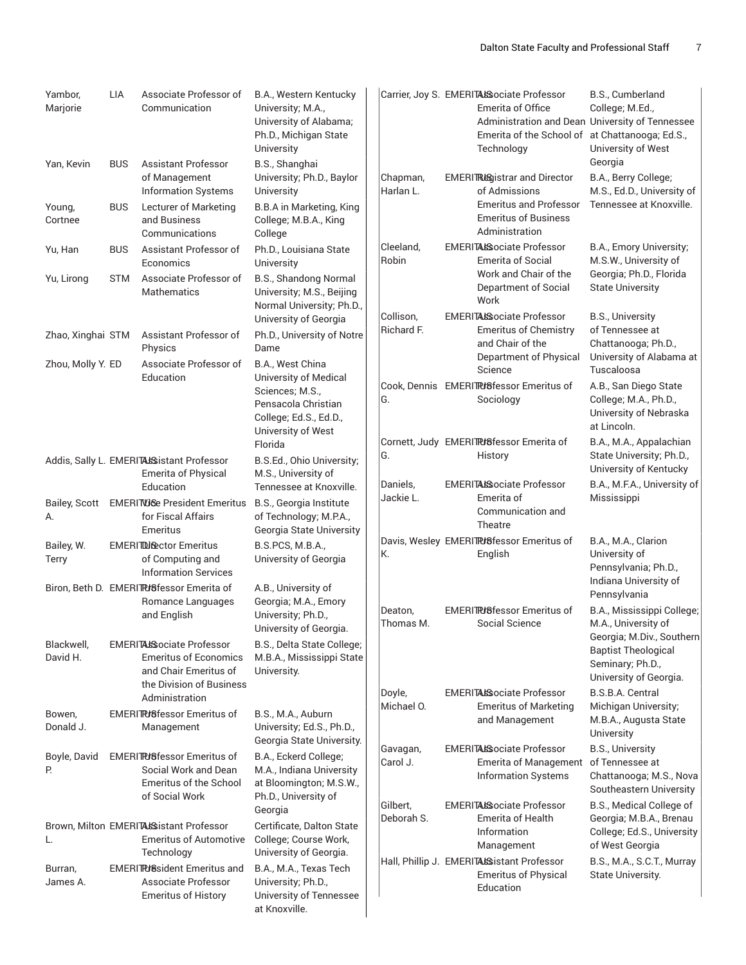| Yambor,<br>Marjorie        | <b>LIA</b> | Associate Professor of<br>Communication                                                                               | B.A., Western Kentucky<br>University; M.A.,<br>University of Alabama;<br>Ph.D., Michigan State<br>University       |                        | Carrier, Joy S. EMERITAL Sociate Professor<br>Emerita of Office<br>Administration and Dean University of Tennessee<br>Emerita of the School of at Chattanooga; Ed.S.,<br>Technology | B.S., Cumberland<br>College; M.Ed.,<br>University of West                                             |
|----------------------------|------------|-----------------------------------------------------------------------------------------------------------------------|--------------------------------------------------------------------------------------------------------------------|------------------------|-------------------------------------------------------------------------------------------------------------------------------------------------------------------------------------|-------------------------------------------------------------------------------------------------------|
| Yan, Kevin                 | <b>BUS</b> | <b>Assistant Professor</b><br>of Management<br><b>Information Systems</b>                                             | B.S., Shanghai<br>University; Ph.D., Baylor<br>University                                                          | Chapman,<br>Harlan L.  | <b>EMERITRISgistrar and Director</b><br>of Admissions                                                                                                                               | Georgia<br>B.A., Berry College;<br>M.S., Ed.D., University of                                         |
| Young,<br>Cortnee          | <b>BUS</b> | Lecturer of Marketing<br>and Business<br>Communications                                                               | <b>B.B.A</b> in Marketing, King<br>College; M.B.A., King<br>College                                                |                        | <b>Emeritus and Professor</b><br><b>Emeritus of Business</b><br>Administration                                                                                                      | Tennessee at Knoxville.                                                                               |
| Yu, Han                    | <b>BUS</b> | Assistant Professor of<br>Economics                                                                                   | Ph.D., Louisiana State<br>University                                                                               | Cleeland,<br>Robin     | <b>EMERITALSociate Professor</b><br><b>Emerita of Social</b>                                                                                                                        | B.A., Emory University;<br>M.S.W., University of                                                      |
| Yu, Lirong                 | <b>STM</b> | Associate Professor of<br>Mathematics                                                                                 | B.S., Shandong Normal<br>University; M.S., Beijing<br>Normal University; Ph.D.,<br>University of Georgia           | Collison,              | Work and Chair of the<br>Department of Social<br>Work<br><b>EMERITASSociate Professor</b>                                                                                           | Georgia; Ph.D., Florida<br><b>State University</b><br><b>B.S., University</b>                         |
| Zhao, Xinghai STM          |            | Assistant Professor of<br>Physics                                                                                     | Ph.D., University of Notre<br>Dame                                                                                 | Richard F.             | <b>Emeritus of Chemistry</b><br>and Chair of the<br>Department of Physical                                                                                                          | of Tennessee at<br>Chattanooga; Ph.D.,<br>University of Alabama at                                    |
| Zhou, Molly Y. ED          |            | Associate Professor of<br>Education                                                                                   | B.A., West China<br>University of Medical                                                                          |                        | Science                                                                                                                                                                             | Tuscaloosa                                                                                            |
|                            |            |                                                                                                                       | Sciences; M.S.,<br>Pensacola Christian<br>College; Ed.S., Ed.D.,<br>University of West                             | G.                     | Cook, Dennis EMERITRUSfessor Emeritus of<br>Sociology                                                                                                                               | A.B., San Diego State<br>College; M.A., Ph.D.,<br>University of Nebraska<br>at Lincoln.               |
|                            |            | Addis, Sally L. EMERITALS istant Professor<br><b>Emerita of Physical</b>                                              | Florida<br>B.S.Ed., Ohio University;<br>M.S., University of                                                        | G.                     | Cornett, Judy EMERITRISfessor Emerita of<br>History                                                                                                                                 | B.A., M.A., Appalachian<br>State University; Ph.D.,<br>University of Kentucky                         |
| <b>Bailey, Scott</b><br>А. |            | Education<br><b>EMERITVIGE President Emeritus</b><br>for Fiscal Affairs                                               | Tennessee at Knoxville.<br>B.S., Georgia Institute<br>of Technology; M.P.A.,                                       | Daniels,<br>Jackie L.  | EMERITALSociate Professor<br>Emerita of<br>Communication and<br>Theatre                                                                                                             | B.A., M.F.A., University of<br>Mississippi                                                            |
| Bailey, W.<br><b>Terry</b> |            | Emeritus<br><b>EMERITDI Sector</b> Emeritus<br>of Computing and<br><b>Information Services</b>                        | Georgia State University<br>B.S.PCS, M.B.A.,<br>University of Georgia                                              | К.                     | Davis, Wesley EMERITR/8fessor Emeritus of<br>English                                                                                                                                | B.A., M.A., Clarion<br>University of<br>Pennsylvania; Ph.D.,<br>Indiana University of                 |
|                            |            | Biron, Beth D. EMERITR/8fessor Emerita of<br>Romance Languages<br>and English                                         | A.B., University of<br>Georgia; M.A., Emory<br>University; Ph.D.,<br>University of Georgia.                        | Deaton,<br>Thomas M.   | <b>EMERITRI</b> 8fessor Emeritus of<br>Social Science                                                                                                                               | Pennsylvania<br>B.A., Mississippi College;<br>M.A., University of                                     |
| Blackwell,<br>David H.     |            | <b>EMERITALSociate Professor</b><br><b>Emeritus of Economics</b><br>and Chair Emeritus of<br>the Division of Business | B.S., Delta State College;<br>M.B.A., Mississippi State<br>University.                                             |                        |                                                                                                                                                                                     | Georgia; M.Div., Southern<br><b>Baptist Theological</b><br>Seminary; Ph.D.,<br>University of Georgia. |
| Bowen,                     |            | Administration<br><b>EMERITRISfessor Emeritus of</b>                                                                  | B.S., M.A., Auburn                                                                                                 | Doyle,<br>Michael O.   | EMERITALSociate Professor<br><b>Emeritus of Marketing</b>                                                                                                                           | B.S.B.A. Central<br>Michigan University;                                                              |
| Donald J.                  |            | Management                                                                                                            | University; Ed.S., Ph.D.,<br>Georgia State University.                                                             |                        | and Management                                                                                                                                                                      | M.B.A., Augusta State<br>University                                                                   |
| Boyle, David<br>Р.         |            | <b>EMERITRISfessor Emeritus of</b><br>Social Work and Dean<br><b>Emeritus of the School</b><br>of Social Work         | B.A., Eckerd College;<br>M.A., Indiana University<br>at Bloomington; M.S.W.,<br>Ph.D., University of               | Gavagan,<br>Carol J.   | EMERITALSociate Professor<br><b>Emerita of Management</b><br><b>Information Systems</b>                                                                                             | <b>B.S., University</b><br>of Tennessee at<br>Chattanooga; M.S., Nova<br>Southeastern University      |
| L.                         |            | Brown, Milton EMERITALS istant Professor<br><b>Emeritus of Automotive</b>                                             | Georgia<br>Certificate, Dalton State<br>College; Course Work,                                                      | Gilbert,<br>Deborah S. | <b>EMERITALSociate Professor</b><br><b>Emerita of Health</b><br>Information<br>Management                                                                                           | B.S., Medical College of<br>Georgia; M.B.A., Brenau<br>College; Ed.S., University<br>of West Georgia  |
| Burran,<br>James A.        |            | Technology<br><b>EMERIT Puller Emeritus and</b><br>Associate Professor<br><b>Emeritus of History</b>                  | University of Georgia.<br>B.A., M.A., Texas Tech<br>University; Ph.D.,<br>University of Tennessee<br>at Knoxville. |                        | Hall, Phillip J. EMERITALS istant Professor<br><b>Emeritus of Physical</b><br>Education                                                                                             | B.S., M.A., S.C.T., Murray<br>State University.                                                       |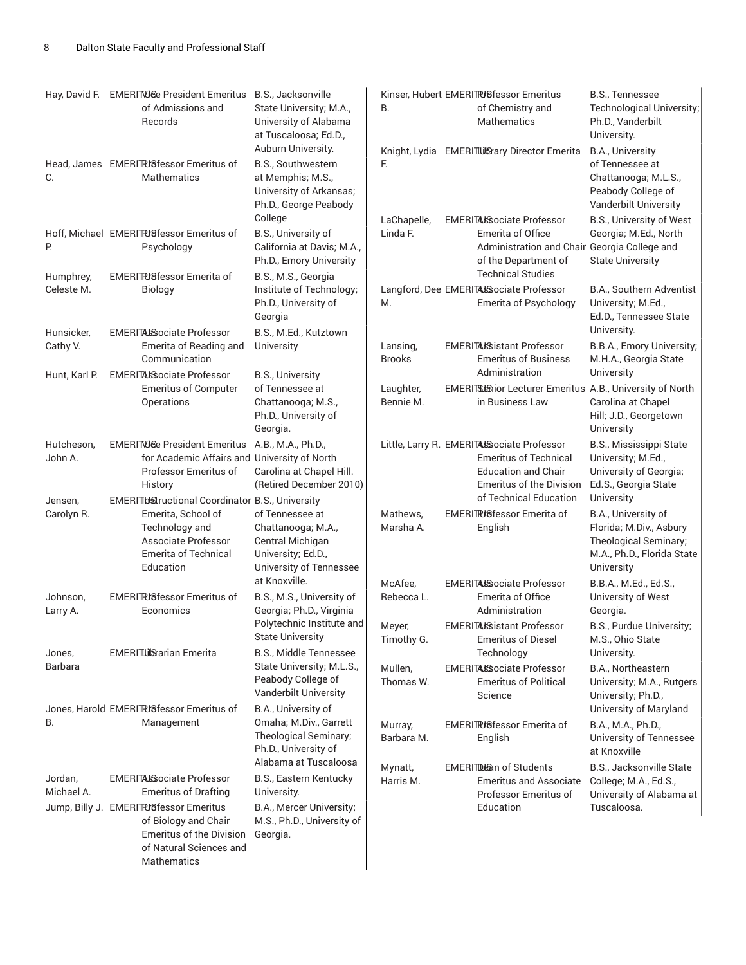|                                         | Hay, David F. EMERITVIGE President Emeritus<br>of Admissions and<br>Records                                                                                                                              | B.S., Jacksonville<br>State University; M.A.,<br>University of Alabama<br>at Tuscaloosa; Ed.D.,                                      | В.                        | Kinser, Hubert EMERITPUSfessor Emeritus<br>of Chemistry and<br>Mathematics                                                                                            | <b>B.S., Tennessee</b><br><b>Technological University;</b><br>Ph.D., Vanderbilt<br>University.                                    |
|-----------------------------------------|----------------------------------------------------------------------------------------------------------------------------------------------------------------------------------------------------------|--------------------------------------------------------------------------------------------------------------------------------------|---------------------------|-----------------------------------------------------------------------------------------------------------------------------------------------------------------------|-----------------------------------------------------------------------------------------------------------------------------------|
| C.                                      | Head, James EMERITRI6fessor Emeritus of<br><b>Mathematics</b>                                                                                                                                            | Auburn University.<br>B.S., Southwestern<br>at Memphis; M.S.,<br>University of Arkansas;<br>Ph.D., George Peabody                    | F.                        | Knight, Lydia EMERITLUSary Director Emerita                                                                                                                           | B.A., University<br>of Tennessee at<br>Chattanooga; M.L.S.,<br>Peabody College of<br>Vanderbilt University                        |
| Р.                                      | Hoff, Michael EMERITRISfessor Emeritus of<br>Psychology<br><b>EMERITRI</b> Bfessor Emerita of                                                                                                            | College<br>B.S., University of<br>California at Davis; M.A.,<br>Ph.D., Emory University                                              | LaChapelle,<br>Linda F.   | <b>EMERITALSociate Professor</b><br>Emerita of Office<br>Administration and Chair Georgia College and<br>of the Department of<br><b>Technical Studies</b>             | B.S., University of West<br>Georgia; M.Ed., North<br><b>State University</b>                                                      |
| Humphrey,<br>Celeste M.                 | Biology                                                                                                                                                                                                  | B.S., M.S., Georgia<br>Institute of Technology;<br>Ph.D., University of<br>Georgia                                                   | M.                        | Langford, Dee EMERITALSociate Professor<br><b>Emerita of Psychology</b>                                                                                               | B.A., Southern Adventist<br>University; M.Ed.,<br>Ed.D., Tennessee State<br>University.                                           |
| Hunsicker,<br>Cathy V.<br>Hunt, Karl P. | <b>EMERITALSociate Professor</b><br>Emerita of Reading and<br>Communication<br><b>EMERITAIS ociate Professor</b>                                                                                         | B.S., M.Ed., Kutztown<br>University<br><b>B.S., University</b>                                                                       | Lansing,<br><b>Brooks</b> | <b>EMERITASSistant Professor</b><br><b>Emeritus of Business</b><br>Administration                                                                                     | B.B.A., Emory University;<br>M.H.A., Georgia State<br>University                                                                  |
|                                         | <b>Emeritus of Computer</b><br>Operations                                                                                                                                                                | of Tennessee at<br>Chattanooga; M.S.,<br>Ph.D., University of<br>Georgia.                                                            | Laughter,<br>Bennie M.    | EMERITS Bior Lecturer Emeritus A.B., University of North<br>in Business Law                                                                                           | Carolina at Chapel<br>Hill; J.D., Georgetown<br>University                                                                        |
| Hutcheson,<br>John A.                   | EMERITVIGe President Emeritus A.B., M.A., Ph.D.,<br>for Academic Affairs and University of North<br>Professor Emeritus of<br>History                                                                     | Carolina at Chapel Hill.<br>(Retired December 2010)                                                                                  |                           | Little, Larry R. EMERITALSociate Professor<br><b>Emeritus of Technical</b><br><b>Education and Chair</b><br><b>Emeritus of the Division</b><br>of Technical Education | B.S., Mississippi State<br>University; M.Ed.,<br>University of Georgia;<br>Ed.S., Georgia State                                   |
| Jensen,<br>Carolyn R.                   | EMERITIUStructional Coordinator B.S., University<br>Emerita, School of<br>Technology and<br>Associate Professor<br><b>Emerita of Technical</b><br>Education                                              | of Tennessee at<br>Chattanooga; M.A.,<br>Central Michigan<br>University; Ed.D.,<br>University of Tennessee                           | Mathews.<br>Marsha A.     | EMERITRISfessor Emerita of<br>English                                                                                                                                 | University<br>B.A., University of<br>Florida; M.Div., Asbury<br>Theological Seminary;<br>M.A., Ph.D., Florida State<br>University |
| Johnson,<br>Larry A.                    | <b>EMERITR/8fessor Emeritus of</b><br>Economics                                                                                                                                                          | at Knoxville.<br>B.S., M.S., University of<br>Georgia; Ph.D., Virginia                                                               | McAfee,<br>Rebecca L.     | <b>EMERITALSociate Professor</b><br><b>Emerita of Office</b><br>Administration                                                                                        | B.B.A., M.Ed., Ed.S.,<br>University of West<br>Georgia.                                                                           |
| Jones,                                  | EMERITLUS arian Emerita                                                                                                                                                                                  | Polytechnic Institute and<br><b>State University</b><br>B.S., Middle Tennessee                                                       | Meyer,<br>Timothy G.      | <b>EMERITAISSistant Professor</b><br><b>Emeritus of Diesel</b><br>Technology                                                                                          | B.S., Purdue University;<br>M.S., Ohio State<br>University.                                                                       |
| Barbara                                 | Jones, Harold EMERITRISfessor Emeritus of                                                                                                                                                                | State University; M.L.S.,<br>Peabody College of<br>Vanderbilt University<br>B.A., University of                                      | Mullen,<br>Thomas W.      | <b>EMERITALSociate Professor</b><br><b>Emeritus of Political</b><br>Science                                                                                           | B.A., Northeastern<br>University; M.A., Rutgers<br>University; Ph.D.,                                                             |
| В.                                      | Management                                                                                                                                                                                               | Omaha; M.Div., Garrett<br>Theological Seminary;<br>Ph.D., University of                                                              | Murray,<br>Barbara M.     | <b>EMERITRIBESSOF Emerita of</b><br>English                                                                                                                           | University of Maryland<br>B.A., M.A., Ph.D.,<br>University of Tennessee<br>at Knoxville                                           |
| Jordan,<br>Michael A.                   | EMERITALSociate Professor<br><b>Emeritus of Drafting</b><br>Jump, Billy J. EMERITRISfessor Emeritus<br>of Biology and Chair<br><b>Emeritus of the Division</b><br>of Natural Sciences and<br>Mathematics | Alabama at Tuscaloosa<br>B.S., Eastern Kentucky<br>University.<br>B.A., Mercer University;<br>M.S., Ph.D., University of<br>Georgia. | Mynatt,<br>Harris M.      | EMERITDE an of Students<br><b>Emeritus and Associate</b><br>Professor Emeritus of<br>Education                                                                        | B.S., Jacksonville State<br>College; M.A., Ed.S.,<br>University of Alabama at<br>Tuscaloosa.                                      |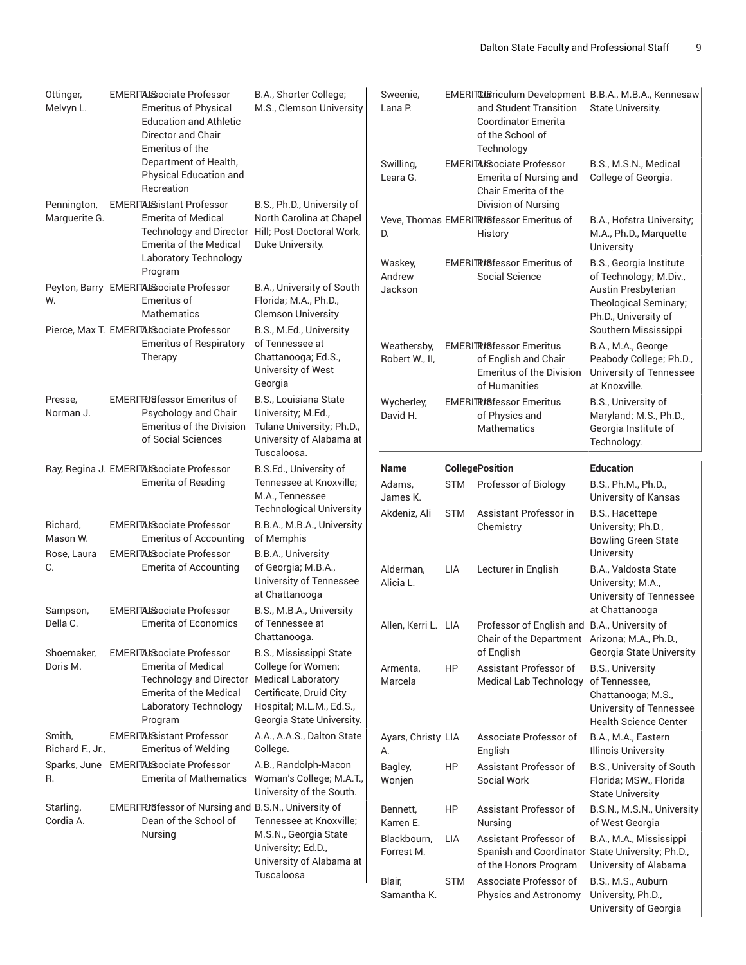| Ottinger,<br>Melvyn L.        | <b>EMERITALSociate Professor</b><br><b>Emeritus of Physical</b><br><b>Education and Athletic</b><br>Director and Chair<br>Emeritus of the                            | B.A., Shorter College;<br>M.S., Clemson University                                                                                                                    | Sweenie,<br>Lana P.                                          |                                | and Student Transition<br>Coordinator Emerita<br>of the School of<br>Technology                                                                                    | EMERITCLBriculum Development B.B.A., M.B.A., Kennesaw<br>State University.                                                                     |
|-------------------------------|----------------------------------------------------------------------------------------------------------------------------------------------------------------------|-----------------------------------------------------------------------------------------------------------------------------------------------------------------------|--------------------------------------------------------------|--------------------------------|--------------------------------------------------------------------------------------------------------------------------------------------------------------------|------------------------------------------------------------------------------------------------------------------------------------------------|
|                               | Department of Health,<br>Physical Education and<br>Recreation                                                                                                        |                                                                                                                                                                       | Swilling,<br>Leara G.                                        |                                | <b>EMERITASSociate Professor</b><br>Emerita of Nursing and<br>Chair Emerita of the                                                                                 | B.S., M.S.N., Medical<br>College of Georgia.                                                                                                   |
| Pennington,<br>Marguerite G.  | <b>EMERITALS:</b> istant Professor<br><b>Emerita of Medical</b><br><b>Technology and Director</b><br>Emerita of the Medical<br>Laboratory Technology                 | B.S., Ph.D., University of<br>North Carolina at Chapel<br>Hill; Post-Doctoral Work,<br>Duke University.                                                               | D.<br>Waskey,                                                |                                | Division of Nursing<br>Veve, Thomas EMERITRISfessor Emeritus of<br>History<br><b>EMERIT PG essor Emeritus of</b>                                                   | B.A., Hofstra University;<br>M.A., Ph.D., Marquette<br>University<br>B.S., Georgia Institute                                                   |
| W.                            | Program<br>Peyton, Barry EMERITALSsociate Professor<br>Emeritus of<br><b>Mathematics</b>                                                                             | B.A., University of South<br>Florida; M.A., Ph.D.,<br><b>Clemson University</b>                                                                                       | Andrew<br>Jackson                                            |                                | Social Science                                                                                                                                                     | of Technology; M.Div.,<br>Austin Presbyterian<br>Theological Seminary;<br>Ph.D., University of                                                 |
|                               | Pierce, Max T. EMERITALSociate Professor<br><b>Emeritus of Respiratory</b><br>Therapy                                                                                | B.S., M.Ed., University<br>of Tennessee at<br>Chattanooga; Ed.S.,<br>University of West<br>Georgia                                                                    | Weathersby,<br>Robert W., II,                                |                                | <b>EMERITRISfessor Emeritus</b><br>of English and Chair<br><b>Emeritus of the Division</b><br>of Humanities                                                        | Southern Mississippi<br>B.A., M.A., George<br>Peabody College; Ph.D.,<br>University of Tennessee<br>at Knoxville.                              |
| Presse,<br>Norman J.          | <b>EMERITRISfessor Emeritus of</b><br>Psychology and Chair<br><b>Emeritus of the Division</b><br>of Social Sciences                                                  | B.S., Louisiana State<br>University; M.Ed.,<br>Tulane University; Ph.D.,<br>University of Alabama at<br>Tuscaloosa.                                                   | Wycherley,<br>David H.                                       |                                | <b>EMERITRISfessor Emeritus</b><br>of Physics and<br>Mathematics                                                                                                   | B.S., University of<br>Maryland; M.S., Ph.D.,<br>Georgia Institute of<br>Technology.                                                           |
|                               | Ray, Regina J. EMERITALSociate Professor                                                                                                                             | B.S.Ed., University of                                                                                                                                                | <b>Name</b>                                                  |                                | <b>CollegePosition</b>                                                                                                                                             | <b>Education</b>                                                                                                                               |
|                               | <b>Emerita of Reading</b>                                                                                                                                            | Tennessee at Knoxville;<br>M.A., Tennessee                                                                                                                            | Adams,<br>James K.                                           |                                | STM Professor of Biology                                                                                                                                           | B.S., Ph.M., Ph.D.,<br>University of Kansas                                                                                                    |
| Richard,<br>Mason W.          | <b>EMERITALSociate Professor</b><br><b>Emeritus of Accounting</b>                                                                                                    | <b>Technological University</b><br>B.B.A., M.B.A., University<br>of Memphis                                                                                           | Akdeniz, Ali                                                 | <b>STM</b>                     | Assistant Professor in<br>Chemistry                                                                                                                                | B.S., Hacettepe<br>University; Ph.D.,<br><b>Bowling Green State</b>                                                                            |
| Rose, Laura<br>С.<br>Sampson, | <b>EMERITALSociate Professor</b><br><b>Emerita of Accounting</b><br><b>EMERITALSociate Professor</b>                                                                 | B.B.A., University<br>of Georgia; M.B.A.,<br>University of Tennessee<br>at Chattanooga<br>B.S., M.B.A., University                                                    | Alderman,<br>Alicia L.                                       | LIA                            | Lecturer in English                                                                                                                                                | University<br>B.A., Valdosta State<br>University; M.A.,<br>University of Tennessee<br>at Chattanooga                                           |
| Della C.                      | <b>Emerita of Economics</b>                                                                                                                                          | of Tennessee at<br>Chattanooga.                                                                                                                                       | Allen, Kerri L. LIA                                          |                                | Professor of English and B.A., University of<br>Chair of the Department Arizona; M.A., Ph.D.,                                                                      |                                                                                                                                                |
| Shoemaker,<br>Doris M.        | <b>EMERITALSociate Professor</b><br><b>Emerita of Medical</b><br><b>Technology and Director</b><br><b>Emerita of the Medical</b><br>Laboratory Technology<br>Program | <b>B.S., Mississippi State</b><br>College for Women;<br><b>Medical Laboratory</b><br>Certificate, Druid City<br>Hospital; M.L.M., Ed.S.,<br>Georgia State University. | Armenta,<br>Marcela                                          | HP                             | of English<br>Assistant Professor of<br><b>Medical Lab Technology</b>                                                                                              | Georgia State University<br>B.S., University<br>of Tennessee,<br>Chattanooga; M.S.,<br>University of Tennessee<br><b>Health Science Center</b> |
| Smith,<br>Richard F., Jr.,    | EMERITALSistant Professor<br><b>Emeritus of Welding</b>                                                                                                              | A.A., A.A.S., Dalton State<br>College.                                                                                                                                | Ayars, Christy LIA<br>А.                                     |                                | Associate Professor of<br>English                                                                                                                                  | B.A., M.A., Eastern<br><b>Illinois University</b>                                                                                              |
| R.                            | Sparks, June EMERITALSociate Professor<br><b>Emerita of Mathematics</b>                                                                                              | A.B., Randolph-Macon<br>Woman's College; M.A.T.,<br>University of the South.                                                                                          | Bagley,<br>Wonjen                                            | HP                             | Assistant Professor of<br>Social Work                                                                                                                              | B.S., University of South<br>Florida; MSW., Florida<br><b>State University</b>                                                                 |
| Starling,<br>Cordia A.        | EMERITRUSfessor of Nursing and B.S.N., University of<br>Dean of the School of<br>Nursing                                                                             | Tennessee at Knoxville;<br>M.S.N., Georgia State<br>University; Ed.D.,<br>University of Alabama at<br>Tuscaloosa                                                      | Bennett,<br>Karren E.<br>Blackbourn,<br>Forrest M.<br>Blair, | HP<br><b>LIA</b><br><b>STM</b> | Assistant Professor of<br>Nursing<br>Assistant Professor of<br>Spanish and Coordinator State University; Ph.D.,<br>of the Honors Program<br>Associate Professor of | B.S.N., M.S.N., University<br>of West Georgia<br>B.A., M.A., Mississippi<br>University of Alabama<br>B.S., M.S., Auburn                        |
|                               |                                                                                                                                                                      |                                                                                                                                                                       | Samantha K.                                                  |                                | Physics and Astronomy                                                                                                                                              | University, Ph.D.,<br>University of Georgia                                                                                                    |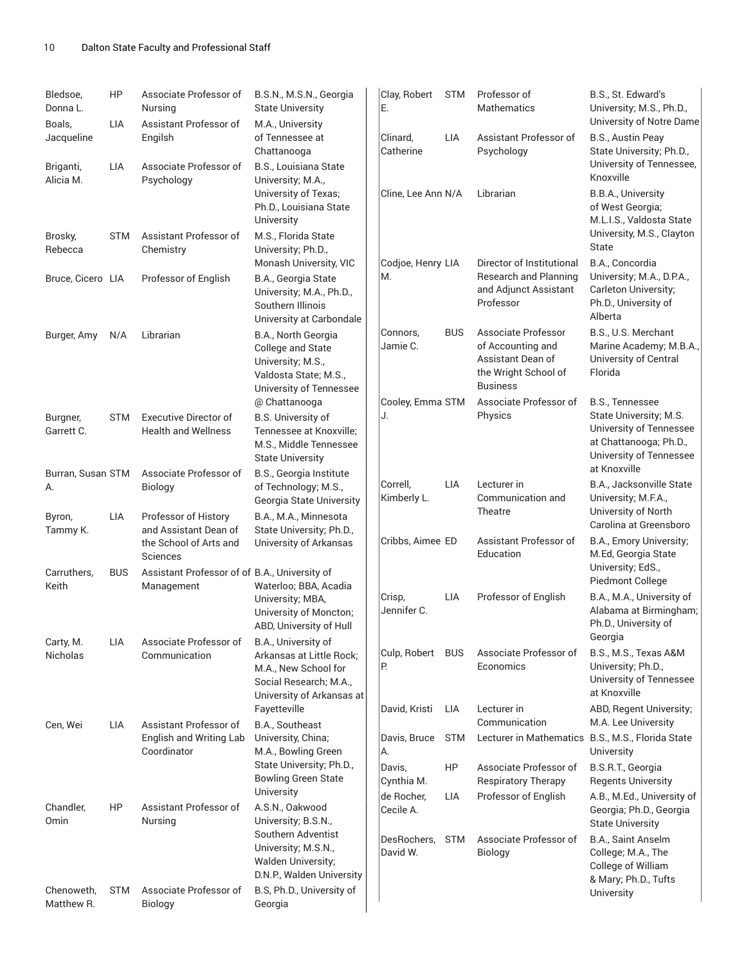| Bledsoe,<br>Donna L.<br>Boals, | HP<br>LIA  | Associate Professor of<br>Nursing<br>Assistant Professor of      | B.S.N., M.S.N., Georgia<br><b>State University</b><br>M.A., University                                            | Clay, Robert<br>Е.      | <b>STM</b> | Professor of<br><b>Mathematics</b>                                                                       | B.S., St. Edward's<br>University, M.S., Ph.D.,<br>University of Notre Dame                   |
|--------------------------------|------------|------------------------------------------------------------------|-------------------------------------------------------------------------------------------------------------------|-------------------------|------------|----------------------------------------------------------------------------------------------------------|----------------------------------------------------------------------------------------------|
| Jacqueline                     |            | Engilsh                                                          | of Tennessee at<br>Chattanooga                                                                                    | Clinard,<br>Catherine   | LIA        | Assistant Professor of<br>Psychology                                                                     | B.S., Austin Peay<br>State University; Ph.D.,<br>University of Tennessee,                    |
| Briganti,<br>Alicia M.         | LIA        | Associate Professor of<br>Psychology                             | B.S., Louisiana State<br>University; M.A.,                                                                        |                         |            |                                                                                                          | Knoxville                                                                                    |
|                                |            |                                                                  | University of Texas;<br>Ph.D., Louisiana State<br>University                                                      | Cline, Lee Ann N/A      |            | Librarian                                                                                                | B.B.A., University<br>of West Georgia;<br>M.L.I.S., Valdosta State                           |
| Brosky,<br>Rebecca             | <b>STM</b> | Assistant Professor of<br>Chemistry                              | M.S., Florida State<br>University; Ph.D.,<br>Monash University, VIC                                               | Codjoe, Henry LIA       |            | Director of Institutional                                                                                | University, M.S., Clayton<br>State<br>B.A., Concordia                                        |
| Bruce, Cicero LIA              |            | Professor of English                                             | B.A., Georgia State<br>University; M.A., Ph.D.,<br>Southern Illinois<br>University at Carbondale                  | М.                      |            | Research and Planning<br>and Adjunct Assistant<br>Professor                                              | University; M.A., D.P.A.,<br>Carleton University;<br>Ph.D., University of<br>Alberta         |
| Burger, Amy                    | N/A        | Librarian                                                        | B.A., North Georgia<br>College and State<br>University; M.S.,<br>Valdosta State; M.S.,<br>University of Tennessee | Connors,<br>Jamie C.    | <b>BUS</b> | Associate Professor<br>of Accounting and<br>Assistant Dean of<br>the Wright School of<br><b>Business</b> | B.S., U.S. Merchant<br>Marine Academy; M.B.A.,<br>University of Central<br>Florida           |
| Burgner,                       | <b>STM</b> | <b>Executive Director of</b>                                     | @ Chattanooga<br>B.S. University of                                                                               | Cooley, Emma STM<br>J.  |            | Associate Professor of<br>Physics                                                                        | B.S., Tennessee<br>State University; M.S.                                                    |
| Garrett C.                     |            | <b>Health and Wellness</b>                                       | Tennessee at Knoxville;<br>M.S., Middle Tennessee<br><b>State University</b>                                      |                         |            |                                                                                                          | University of Tennessee<br>at Chattanooga; Ph.D.,<br>University of Tennessee<br>at Knoxville |
| Burran, Susan STM<br>A.        |            | Associate Professor of<br>Biology                                | B.S., Georgia Institute<br>of Technology; M.S.,<br>Georgia State University                                       | Correll,<br>Kimberly L. | <b>LIA</b> | Lecturer in<br>Communication and                                                                         | B.A., Jacksonville State<br>University; M.F.A.,                                              |
| Byron,<br>Tammy K.             | <b>LIA</b> | Professor of History<br>and Assistant Dean of                    | B.A., M.A., Minnesota<br>State University; Ph.D.,                                                                 |                         |            | Theatre                                                                                                  | University of North<br>Carolina at Greensboro                                                |
| Carruthers.                    |            | the School of Arts and<br>Sciences                               | University of Arkansas                                                                                            | Cribbs, Aimee ED        |            | Assistant Professor of<br>Education                                                                      | B.A., Emory University;<br>M.Ed, Georgia State<br>University; EdS.,                          |
| Keith                          | <b>BUS</b> | Assistant Professor of of B.A., University of<br>Management      | Waterloo; BBA, Acadia                                                                                             | Crisp,                  | LIA        | Professor of English                                                                                     | Piedmont College<br>B.A., M.A., University of                                                |
|                                |            |                                                                  | University; MBA,<br>University of Moncton;<br>ABD, University of Hull                                             | Jennifer C.             |            |                                                                                                          | Alabama at Birmingham;<br>Ph.D., University of<br>Georgia                                    |
| Carty, M.<br>Nicholas          | LIA        | Associate Professor of<br>Communication                          | B.A., University of<br>Arkansas at Little Rock;<br>M.A., New School for<br>Social Research; M.A.,                 | Culp, Robert<br>Р.      | <b>BUS</b> | Associate Professor of<br>Economics                                                                      | B.S., M.S., Texas A&M<br>University; Ph.D.,<br>University of Tennessee<br>at Knoxville       |
|                                |            |                                                                  | University of Arkansas at<br>Fayetteville                                                                         | David, Kristi           | LIA        | Lecturer in                                                                                              | ABD, Regent University;                                                                      |
| Cen, Wei                       | LIA        | Assistant Professor of<br>English and Writing Lab<br>Coordinator | B.A., Southeast<br>University, China;<br>M.A., Bowling Green                                                      | Davis, Bruce<br>А.      | <b>STM</b> | Communication<br>Lecturer in Mathematics B.S., M.S., Florida State                                       | M.A. Lee University<br>University                                                            |
|                                |            |                                                                  | State University; Ph.D.,<br><b>Bowling Green State</b>                                                            | Davis.<br>Cynthia M.    | HP         | Associate Professor of<br>Respiratory Therapy                                                            | B.S.R.T., Georgia<br><b>Regents University</b>                                               |
| Chandler,<br>Omin              | HP         | Assistant Professor of<br>Nursing                                | University<br>A.S.N., Oakwood<br>University; B.S.N.,                                                              | de Rocher,<br>Cecile A. | LIA        | Professor of English                                                                                     | A.B., M.Ed., University of<br>Georgia; Ph.D., Georgia<br><b>State University</b>             |
|                                |            |                                                                  | Southern Adventist<br>University; M.S.N.,<br><b>Walden University;</b><br>D.N.P., Walden University               | DesRochers,<br>David W. | <b>STM</b> | Associate Professor of<br>Biology                                                                        | B.A., Saint Anselm<br>College; M.A., The<br>College of William<br>& Mary; Ph.D., Tufts       |
| Chenoweth,<br>Matthew R.       | <b>STM</b> | Associate Professor of<br>Biology                                | B.S, Ph.D., University of<br>Georgia                                                                              |                         |            |                                                                                                          | University                                                                                   |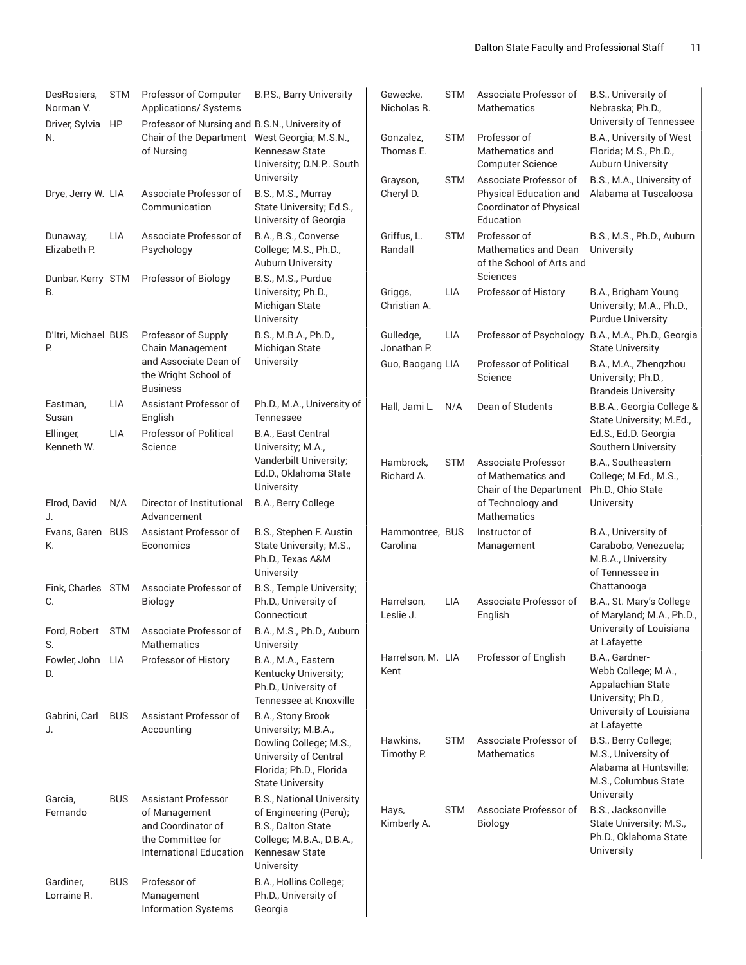| DesRosiers,<br>Norman V.<br>Driver, Sylvia | <b>STM</b><br>HP | Professor of Computer<br>Applications/ Systems<br>Professor of Nursing and B.S.N., University of                  | <b>B.P.S., Barry University</b>                                                                                                                     | Gewecke,<br>Nicholas R.     | <b>STM</b> | Associate Professor of<br><b>Mathematics</b>                                                    | B.S., University of<br>Nebraska; Ph.D.,<br>University of Tennessee                                 |
|--------------------------------------------|------------------|-------------------------------------------------------------------------------------------------------------------|-----------------------------------------------------------------------------------------------------------------------------------------------------|-----------------------------|------------|-------------------------------------------------------------------------------------------------|----------------------------------------------------------------------------------------------------|
| N.                                         |                  | Chair of the Department West Georgia; M.S.N.,<br>of Nursing                                                       | Kennesaw State<br>University; D.N.P. South                                                                                                          | Gonzalez,<br>Thomas E.      | <b>STM</b> | Professor of<br>Mathematics and<br><b>Computer Science</b>                                      | B.A., University of West<br>Florida; M.S., Ph.D.,<br><b>Auburn University</b>                      |
| Drye, Jerry W. LIA                         |                  | Associate Professor of<br>Communication                                                                           | University<br>B.S., M.S., Murray<br>State University; Ed.S.,<br>University of Georgia                                                               | Grayson,<br>Cheryl D.       | <b>STM</b> | Associate Professor of<br>Physical Education and<br><b>Coordinator of Physical</b><br>Education | B.S., M.A., University of<br>Alabama at Tuscaloosa                                                 |
| Dunaway,<br>Elizabeth P.                   | <b>LIA</b>       | Associate Professor of<br>Psychology                                                                              | B.A., B.S., Converse<br>College; M.S., Ph.D.,<br>Auburn University                                                                                  | Griffus, L.<br>Randall      | <b>STM</b> | Professor of<br>Mathematics and Dean<br>of the School of Arts and                               | B.S., M.S., Ph.D., Auburn<br>University                                                            |
| Dunbar, Kerry STM<br>B.                    |                  | Professor of Biology                                                                                              | B.S., M.S., Purdue<br>University; Ph.D.,<br>Michigan State<br>University                                                                            | Griggs,<br>Christian A.     | <b>LIA</b> | Sciences<br>Professor of History                                                                | B.A., Brigham Young<br>University; M.A., Ph.D.,<br><b>Purdue University</b>                        |
| D'Itri, Michael BUS<br>P.                  |                  | Professor of Supply<br>Chain Management                                                                           | B.S., M.B.A., Ph.D.,<br>Michigan State                                                                                                              | Gulledge,<br>Jonathan P.    | <b>LIA</b> | Professor of Psychology                                                                         | B.A., M.A., Ph.D., Georgia<br><b>State University</b>                                              |
|                                            |                  | and Associate Dean of<br>the Wright School of<br><b>Business</b>                                                  | University                                                                                                                                          | Guo, Baogang LIA            |            | <b>Professor of Political</b><br>Science                                                        | B.A., M.A., Zhengzhou<br>University; Ph.D.,<br><b>Brandeis University</b>                          |
| Eastman,<br>Susan                          | LIA              | Assistant Professor of<br>English                                                                                 | Ph.D., M.A., University of<br>Tennessee                                                                                                             | Hall, Jami L.               | N/A        | Dean of Students                                                                                | B.B.A., Georgia College &<br>State University; M.Ed.,                                              |
| Ellinger,<br>Kenneth W.                    | <b>LIA</b>       | <b>Professor of Political</b><br>Science                                                                          | B.A., East Central<br>University; M.A.,                                                                                                             |                             |            |                                                                                                 | Ed.S., Ed.D. Georgia<br>Southern University                                                        |
|                                            |                  |                                                                                                                   | Vanderbilt University;<br>Ed.D., Oklahoma State<br>University                                                                                       | Hambrock,<br>Richard A.     | <b>STM</b> | Associate Professor<br>of Mathematics and<br>Chair of the Department                            | B.A., Southeastern<br>College; M.Ed., M.S.,<br>Ph.D., Ohio State                                   |
| Elrod, David<br>IJ.                        | N/A              | Director of Institutional<br>Advancement                                                                          | B.A., Berry College                                                                                                                                 |                             |            | of Technology and<br><b>Mathematics</b>                                                         | University                                                                                         |
| Evans, Garen BUS<br>K.                     |                  | Assistant Professor of<br>Economics                                                                               | B.S., Stephen F. Austin<br>State University; M.S.,<br>Ph.D., Texas A&M<br>University                                                                | Hammontree, BUS<br>Carolina |            | Instructor of<br>Management                                                                     | B.A., University of<br>Carabobo, Venezuela;<br>M.B.A., University<br>of Tennessee in               |
| Fink, Charles STM<br>IC.                   |                  | Associate Professor of<br>Biology                                                                                 | B.S., Temple University;<br>Ph.D., University of<br>Connecticut                                                                                     | Harrelson,<br>Leslie J.     | <b>LIA</b> | Associate Professor of<br>English                                                               | Chattanooga<br>B.A., St. Mary's College<br>of Maryland; M.A., Ph.D.,                               |
| S.                                         |                  | Ford, Robert STM Associate Professor of<br><b>Mathematics</b>                                                     | B.A., M.S., Ph.D., Auburn<br>University                                                                                                             |                             |            |                                                                                                 | University of Louisiana<br>at Lafayette                                                            |
| Fowler, John LIA<br>D.                     |                  | Professor of History                                                                                              | B.A., M.A., Eastern<br>Kentucky University;<br>Ph.D., University of<br>Tennessee at Knoxville                                                       | Harrelson, M. LIA<br>Kent   |            | Professor of English                                                                            | B.A., Gardner-<br>Webb College; M.A.,<br>Appalachian State<br>University; Ph.D.,                   |
| Gabrini, Carl<br>J.                        | <b>BUS</b>       | Assistant Professor of<br>Accounting                                                                              | B.A., Stony Brook<br>University; M.B.A.,                                                                                                            |                             |            |                                                                                                 | University of Louisiana<br>at Lafayette                                                            |
|                                            |                  |                                                                                                                   | Dowling College; M.S.,<br>University of Central<br>Florida; Ph.D., Florida<br><b>State University</b>                                               | Hawkins,<br>Timothy P.      | <b>STM</b> | Associate Professor of<br>Mathematics                                                           | B.S., Berry College;<br>M.S., University of<br>Alabama at Huntsville;<br>M.S., Columbus State      |
| Garcia,<br>Fernando                        | <b>BUS</b>       | <b>Assistant Professor</b><br>of Management<br>and Coordinator of<br>the Committee for<br>International Education | <b>B.S., National University</b><br>of Engineering (Peru);<br>B.S., Dalton State<br>College; M.B.A., D.B.A.,<br><b>Kennesaw State</b><br>University | Hays,<br>Kimberly A.        | <b>STM</b> | Associate Professor of<br>Biology                                                               | University<br>B.S., Jacksonville<br>State University; M.S.,<br>Ph.D., Oklahoma State<br>University |
| Gardiner,<br>Lorraine R.                   | <b>BUS</b>       | Professor of<br>Management                                                                                        | B.A., Hollins College;<br>Ph.D., University of                                                                                                      |                             |            |                                                                                                 |                                                                                                    |

Information Systems

Georgia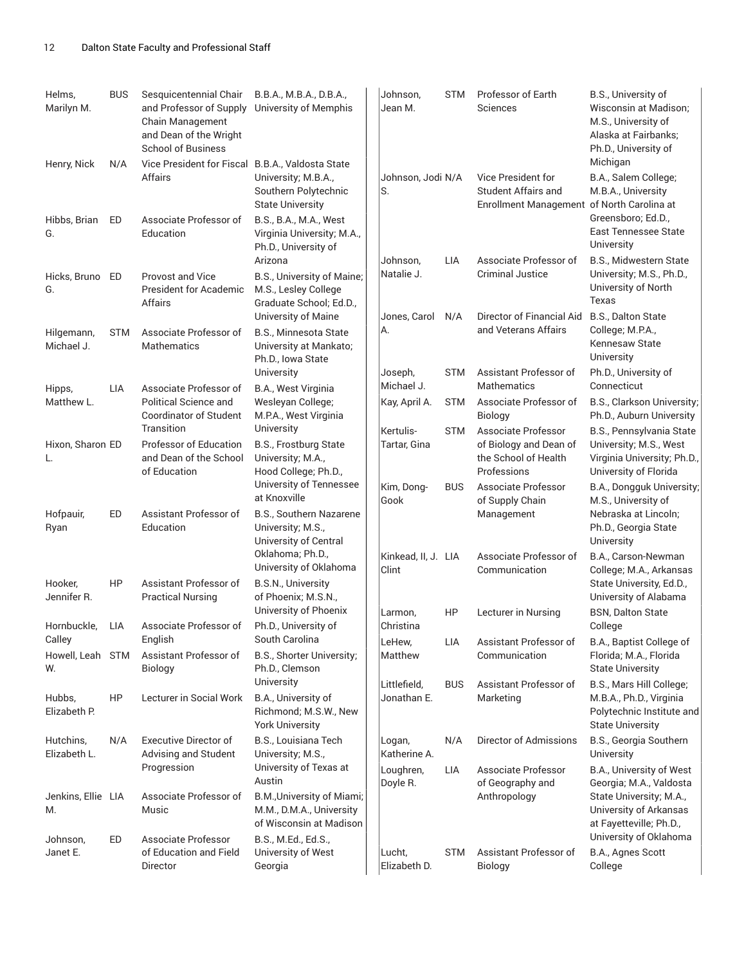| Helms,<br>Marilyn M.      | <b>BUS</b> | Sesquicentennial Chair<br>and Professor of Supply<br>Chain Management<br>and Dean of the Wright<br><b>School of Business</b> | B.B.A., M.B.A., D.B.A.,<br>University of Memphis                                                   | Johnson,<br>Jean M.          | <b>STM</b> | Professor of Earth<br>Sciences                                                                        | B.S., University of<br>Wisconsin at Madison;<br>M.S., University of<br>Alaska at Fairbanks;<br>Ph.D., University of |
|---------------------------|------------|------------------------------------------------------------------------------------------------------------------------------|----------------------------------------------------------------------------------------------------|------------------------------|------------|-------------------------------------------------------------------------------------------------------|---------------------------------------------------------------------------------------------------------------------|
| Henry, Nick               | N/A        | Vice President for Fiscal B.B.A., Valdosta State<br>Affairs                                                                  | University; M.B.A.,<br>Southern Polytechnic<br><b>State University</b>                             | Johnson, Jodi N/A<br>S.      |            | <b>Vice President for</b><br><b>Student Affairs and</b><br>Enrollment Management of North Carolina at | Michigan<br>B.A., Salem College;<br>M.B.A., University                                                              |
| Hibbs, Brian<br>G.        | ED         | Associate Professor of<br>Education                                                                                          | B.S., B.A., M.A., West<br>Virginia University; M.A.,<br>Ph.D., University of                       |                              |            |                                                                                                       | Greensboro; Ed.D.,<br><b>East Tennessee State</b><br>University                                                     |
| Hicks, Bruno<br>G.        | ED         | Provost and Vice<br><b>President for Academic</b><br>Affairs                                                                 | Arizona<br>B.S., University of Maine;<br>M.S., Lesley College<br>Graduate School; Ed.D.,           | Johnson,<br>Natalie J.       | LIA        | Associate Professor of<br><b>Criminal Justice</b>                                                     | B.S., Midwestern State<br>University; M.S., Ph.D.,<br>University of North<br>Texas                                  |
| Hilgemann,<br>Michael J.  | <b>STM</b> | Associate Professor of<br><b>Mathematics</b>                                                                                 | University of Maine<br><b>B.S., Minnesota State</b><br>University at Mankato;<br>Ph.D., Iowa State | Jones, Carol<br>А.           | N/A        | Director of Financial Aid<br>and Veterans Affairs                                                     | B.S., Dalton State<br>College; M.P.A.,<br>Kennesaw State<br>University                                              |
| Hipps,                    | LIA        | Associate Professor of                                                                                                       | University<br>B.A., West Virginia                                                                  | Joseph,<br>Michael J.        | <b>STM</b> | Assistant Professor of<br><b>Mathematics</b>                                                          | Ph.D., University of<br>Connecticut                                                                                 |
| Matthew L.                |            | Political Science and<br><b>Coordinator of Student</b><br>Transition                                                         | Wesleyan College;<br>M.P.A., West Virginia<br>University                                           | Kay, April A.                | <b>STM</b> | Associate Professor of<br><b>Biology</b>                                                              | B.S., Clarkson University;<br>Ph.D., Auburn University                                                              |
| Hixon, Sharon ED<br>L.    |            | Professor of Education<br>and Dean of the School<br>of Education                                                             | B.S., Frostburg State<br>University; M.A.,<br>Hood College; Ph.D.,                                 | Kertulis-<br>Tartar, Gina    | <b>STM</b> | Associate Professor<br>of Biology and Dean of<br>the School of Health<br>Professions                  | B.S., Pennsylvania State<br>University; M.S., West<br>Virginia University; Ph.D.,<br>University of Florida          |
|                           |            |                                                                                                                              | University of Tennessee<br>at Knoxville                                                            | Kim, Dong-<br>Gook           | <b>BUS</b> | Associate Professor<br>of Supply Chain                                                                | B.A., Dongguk University;<br>M.S., University of                                                                    |
| Hofpauir,<br>Ryan         | ED         | Assistant Professor of<br>Education                                                                                          | B.S., Southern Nazarene<br>University; M.S.,<br>University of Central                              |                              |            | Management                                                                                            | Nebraska at Lincoln;<br>Ph.D., Georgia State<br>University                                                          |
| Hooker,                   | HP         | Assistant Professor of                                                                                                       | Oklahoma; Ph.D.,<br>University of Oklahoma<br>B.S.N., University                                   | Kinkead, II, J. LIA<br>Clint |            | Associate Professor of<br>Communication                                                               | B.A., Carson-Newman<br>College; M.A., Arkansas<br>State University, Ed.D.,                                          |
| Jennifer R.               |            | <b>Practical Nursing</b>                                                                                                     | of Phoenix; M.S.N.,<br>University of Phoenix                                                       | Larmon,                      | HP         | Lecturer in Nursing                                                                                   | University of Alabama<br><b>BSN, Dalton State</b>                                                                   |
| Hornbuckle,<br>Calley     | LIA        | Associate Professor of<br>English                                                                                            | Ph.D., University of<br>South Carolina                                                             | Christina<br>LeHew,          | LIA        | Assistant Professor of                                                                                | College<br>B.A., Baptist College of                                                                                 |
| Howell, Leah STM<br>W.    |            | Assistant Professor of<br>Biology                                                                                            | B.S., Shorter University;<br>Ph.D., Clemson                                                        | Matthew                      |            | Communication                                                                                         | Florida; M.A., Florida<br><b>State University</b>                                                                   |
| Hubbs,<br>Elizabeth P.    | HP         | Lecturer in Social Work                                                                                                      | University<br>B.A., University of<br>Richmond; M.S.W., New<br><b>York University</b>               | Littlefield,<br>Jonathan E.  | <b>BUS</b> | Assistant Professor of<br>Marketing                                                                   | B.S., Mars Hill College;<br>M.B.A., Ph.D., Virginia<br>Polytechnic Institute and<br><b>State University</b>         |
| Hutchins,<br>Elizabeth L. | N/A        | <b>Executive Director of</b><br>Advising and Student                                                                         | B.S., Louisiana Tech<br>University; M.S.,                                                          | Logan,<br>Katherine A.       | N/A        | Director of Admissions                                                                                | B.S., Georgia Southern<br>University                                                                                |
|                           |            | Progression                                                                                                                  | University of Texas at<br>Austin                                                                   | Loughren,<br>Doyle R.        | LIA        | Associate Professor<br>of Geography and                                                               | B.A., University of West<br>Georgia; M.A., Valdosta                                                                 |
| Jenkins, Ellie LIA<br>М.  |            | Associate Professor of<br>Music                                                                                              | B.M., University of Miami;<br>M.M., D.M.A., University<br>of Wisconsin at Madison                  |                              |            | Anthropology                                                                                          | State University; M.A.,<br>University of Arkansas<br>at Fayetteville; Ph.D.,                                        |
| Johnson,<br>Janet E.      | ED         | Associate Professor<br>of Education and Field<br>Director                                                                    | B.S., M.Ed., Ed.S.,<br>University of West<br>Georgia                                               | Lucht,<br>Elizabeth D.       | <b>STM</b> | Assistant Professor of<br><b>Biology</b>                                                              | University of Oklahoma<br>B.A., Agnes Scott<br>College                                                              |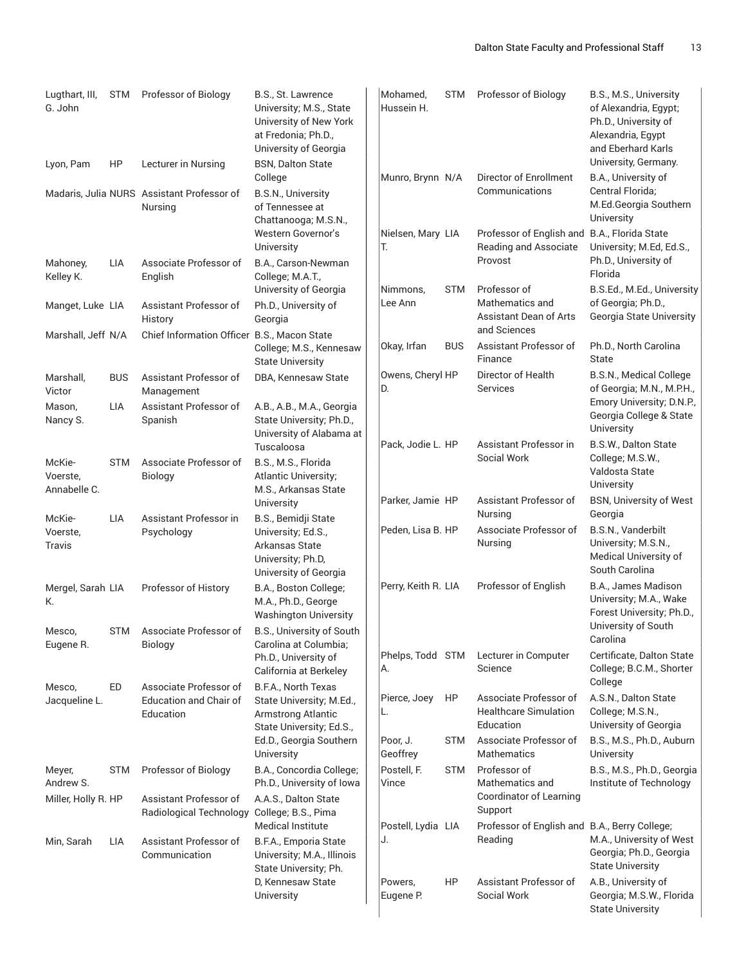| Lugthart, III,<br>G. John | <b>STM</b> | Professor of Biology                                  | B.S., St. Lawrence<br>University; M.S., State<br>University of New York<br>at Fredonia; Ph.D.,<br>University of Georgia | Mohamed,<br>Hussein H.   | <b>STM</b> | Professor of Biology                                                             | B.S., M.S., University<br>of Alexandria, Egypt;<br>Ph.D., University of<br>Alexandria, Egypt<br>and Eberhard Karls |
|---------------------------|------------|-------------------------------------------------------|-------------------------------------------------------------------------------------------------------------------------|--------------------------|------------|----------------------------------------------------------------------------------|--------------------------------------------------------------------------------------------------------------------|
| Lyon, Pam                 | HP         | Lecturer in Nursing                                   | <b>BSN, Dalton State</b><br>College                                                                                     | Munro, Brynn N/A         |            | Director of Enrollment                                                           | University, Germany.<br>B.A., University of                                                                        |
|                           |            | Madaris, Julia NURS Assistant Professor of<br>Nursing | <b>B.S.N., University</b><br>of Tennessee at<br>Chattanooga; M.S.N.,                                                    |                          |            | Communications                                                                   | Central Florida;<br>M.Ed.Georgia Southern<br>University                                                            |
| Mahoney,                  | LIA        | Associate Professor of                                | Western Governor's<br>University<br>B.A., Carson-Newman                                                                 | Nielsen, Mary LIA<br>Т.  |            | Professor of English and B.A., Florida State<br>Reading and Associate<br>Provost | University; M.Ed, Ed.S.,<br>Ph.D., University of                                                                   |
| Kelley K.                 |            | English                                               | College; M.A.T.,<br>University of Georgia                                                                               | Nimmons,                 | <b>STM</b> | Professor of                                                                     | Florida<br>B.S.Ed., M.Ed., University                                                                              |
| Manget, Luke LIA          |            | Assistant Professor of<br>History                     | Ph.D., University of<br>Georgia                                                                                         | Lee Ann                  |            | Mathematics and<br>Assistant Dean of Arts<br>and Sciences                        | of Georgia; Ph.D.,<br>Georgia State University                                                                     |
| Marshall, Jeff N/A        |            | Chief Information Officer B.S., Macon State           | College; M.S., Kennesaw<br><b>State University</b>                                                                      | Okay, Irfan              | <b>BUS</b> | Assistant Professor of<br>Finance                                                | Ph.D., North Carolina<br>State                                                                                     |
| Marshall,<br>Victor       | <b>BUS</b> | Assistant Professor of<br>Management                  | DBA, Kennesaw State                                                                                                     | Owens, Cheryl HP<br>D.   |            | Director of Health<br><b>Services</b>                                            | B.S.N., Medical College<br>of Georgia; M.N., M.P.H.,                                                               |
| Mason,<br>Nancy S.        | LIA        | Assistant Professor of<br>Spanish                     | A.B., A.B., M.A., Georgia<br>State University; Ph.D.,<br>University of Alabama at                                       |                          |            |                                                                                  | Emory University; D.N.P.,<br>Georgia College & State<br>University                                                 |
| McKie-                    | <b>STM</b> | Associate Professor of                                | Tuscaloosa<br>B.S., M.S., Florida                                                                                       | Pack, Jodie L. HP        |            | Assistant Professor in<br>Social Work                                            | B.S.W., Dalton State<br>College; M.S.W.,                                                                           |
| Voerste,<br>Annabelle C.  |            | Biology                                               | Atlantic University;<br>M.S., Arkansas State<br>University                                                              | Parker, Jamie HP         |            | Assistant Professor of                                                           | Valdosta State<br>University<br><b>BSN, University of West</b>                                                     |
| McKie-                    | LIA        | Assistant Professor in                                | B.S., Bemidji State                                                                                                     |                          |            | Nursing                                                                          | Georgia                                                                                                            |
| Voerste,<br>Travis        |            | Psychology                                            | University; Ed.S.,<br>Arkansas State<br>University; Ph.D.<br>University of Georgia                                      | Peden, Lisa B. HP        |            | Associate Professor of<br>Nursing                                                | B.S.N., Vanderbilt<br>University; M.S.N.,<br>Medical University of<br>South Carolina                               |
| Mergel, Sarah LIA<br>K.   |            | Professor of History                                  | B.A., Boston College;<br>M.A., Ph.D., George<br><b>Washington University</b>                                            | Perry, Keith R. LIA      |            | Professor of English                                                             | B.A., James Madison<br>University; M.A., Wake<br>Forest University; Ph.D.,                                         |
| Mesco,<br>Eugene R.       | STM        | Associate Professor of<br>Biology                     | B.S., University of South<br>Carolina at Columbia;                                                                      |                          |            |                                                                                  | University of South<br>Carolina                                                                                    |
|                           | ED         | Associate Professor of                                | Ph.D., University of<br>California at Berkeley<br>B.F.A., North Texas                                                   | Phelps, Todd STM<br>А.   |            | Lecturer in Computer<br>Science                                                  | Certificate, Dalton State<br>College; B.C.M., Shorter<br>College                                                   |
| Mesco,<br>Jacqueline L.   |            | <b>Education and Chair of</b><br>Education            | State University; M.Ed.,<br>Armstrong Atlantic<br>State University; Ed.S.,                                              | Pierce, Joey<br>L.       | HP         | Associate Professor of<br><b>Healthcare Simulation</b><br>Education              | A.S.N., Dalton State<br>College; M.S.N.,<br>University of Georgia                                                  |
|                           |            |                                                       | Ed.D., Georgia Southern<br>University                                                                                   | Poor, J.<br>Geoffrey     | <b>STM</b> | Associate Professor of<br>Mathematics                                            | B.S., M.S., Ph.D., Auburn<br>University                                                                            |
| Meyer,<br>Andrew S.       | <b>STM</b> | Professor of Biology                                  | B.A., Concordia College;<br>Ph.D., University of Iowa                                                                   | Postell, F.<br>Vince     | <b>STM</b> | Professor of<br>Mathematics and                                                  | B.S., M.S., Ph.D., Georgia<br>Institute of Technology                                                              |
| Miller, Holly R. HP       |            | Assistant Professor of<br>Radiological Technology     | A.A.S., Dalton State<br>College; B.S., Pima                                                                             |                          |            | Coordinator of Learning<br>Support                                               |                                                                                                                    |
| Min, Sarah                | LIA        | Assistant Professor of<br>Communication               | <b>Medical Institute</b><br>B.F.A., Emporia State<br>University; M.A., Illinois<br>State University; Ph.                | Postell, Lydia LIA<br>J. |            | Professor of English and B.A., Berry College;<br>Reading                         | M.A., University of West<br>Georgia; Ph.D., Georgia<br><b>State University</b>                                     |
|                           |            |                                                       | D, Kennesaw State<br>University                                                                                         | Powers,<br>Eugene P.     | HP         | Assistant Professor of<br>Social Work                                            | A.B., University of<br>Georgia; M.S.W., Florida<br><b>State University</b>                                         |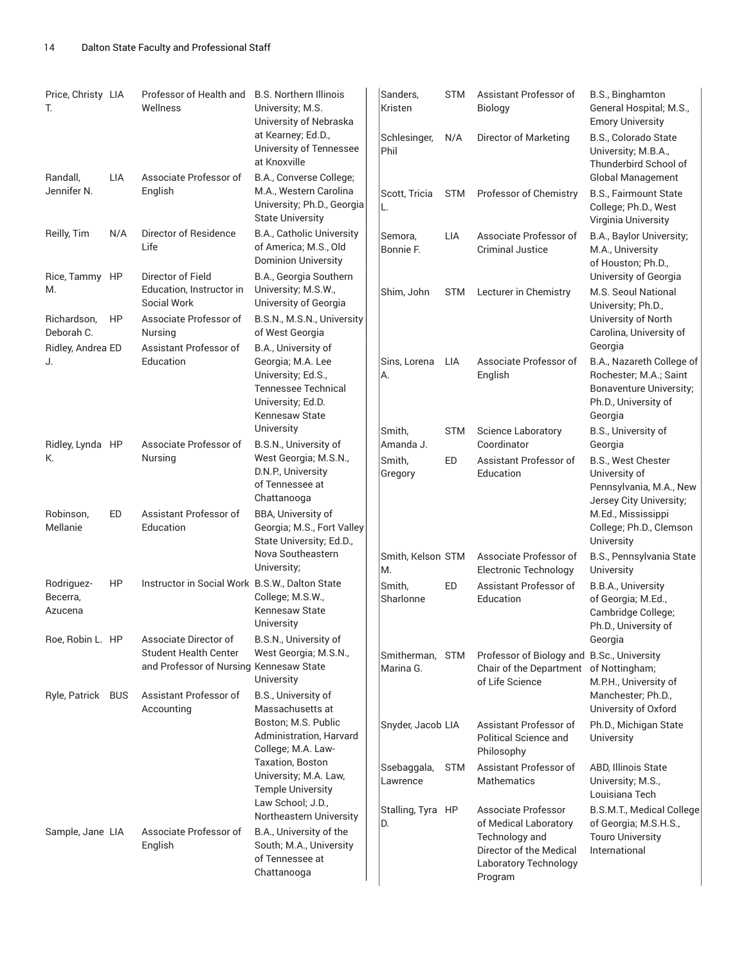| Price, Christy LIA<br>T.          |            | Professor of Health and<br>Wellness                                                              | B.S. Northern Illinois<br>University; M.S.<br>University of Nebraska                                                                | Sanders,<br>Kristen      | <b>STM</b> | Assistant Professor of<br>Biology                                                                       | B.S., Binghamton<br>General Hospital; M.S.,<br><b>Emory University</b>                                                              |
|-----------------------------------|------------|--------------------------------------------------------------------------------------------------|-------------------------------------------------------------------------------------------------------------------------------------|--------------------------|------------|---------------------------------------------------------------------------------------------------------|-------------------------------------------------------------------------------------------------------------------------------------|
|                                   |            |                                                                                                  | at Kearney; Ed.D.,<br>University of Tennessee<br>at Knoxville                                                                       | Schlesinger,<br>Phil     | N/A        | Director of Marketing                                                                                   | B.S., Colorado State<br>University; M.B.A.,<br>Thunderbird School of                                                                |
| Randall,<br>Jennifer N.           | <b>LIA</b> | Associate Professor of<br>English                                                                | B.A., Converse College;<br>M.A., Western Carolina<br>University; Ph.D., Georgia<br><b>State University</b>                          | Scott, Tricia<br>L.      | <b>STM</b> | Professor of Chemistry                                                                                  | <b>Global Management</b><br>B.S., Fairmount State<br>College; Ph.D., West<br>Virginia University                                    |
| Reilly, Tim                       | N/A        | Director of Residence<br>Life                                                                    | B.A., Catholic University<br>of America; M.S., Old<br><b>Dominion University</b>                                                    | Semora,<br>Bonnie F.     | <b>LIA</b> | Associate Professor of<br><b>Criminal Justice</b>                                                       | B.A., Baylor University;<br>M.A., University<br>of Houston; Ph.D.,                                                                  |
| Rice, Tammy HP<br>M.              |            | Director of Field<br>Education, Instructor in<br>Social Work                                     | B.A., Georgia Southern<br>University; M.S.W.,<br>University of Georgia                                                              | Shim, John               | <b>STM</b> | Lecturer in Chemistry                                                                                   | University of Georgia<br>M.S. Seoul National<br>University; Ph.D.,                                                                  |
| Richardson,<br>Deborah C.         | HP         | Associate Professor of<br>Nursing                                                                | B.S.N., M.S.N., University<br>of West Georgia                                                                                       |                          |            |                                                                                                         | University of North<br>Carolina, University of                                                                                      |
| Ridley, Andrea ED<br>J.           |            | Assistant Professor of<br>Education                                                              | B.A., University of<br>Georgia; M.A. Lee<br>University; Ed.S.,<br><b>Tennessee Technical</b><br>University; Ed.D.<br>Kennesaw State | Sins, Lorena<br>А.       | LIA        | Associate Professor of<br>English                                                                       | Georgia<br>B.A., Nazareth College of<br>Rochester; M.A.; Saint<br><b>Bonaventure University;</b><br>Ph.D., University of<br>Georgia |
| Ridley, Lynda HP                  |            | Associate Professor of                                                                           | University<br>B.S.N., University of                                                                                                 | Smith,<br>Amanda J.      | <b>STM</b> | <b>Science Laboratory</b><br>Coordinator                                                                | B.S., University of<br>Georgia                                                                                                      |
| K.                                |            | Nursing                                                                                          | West Georgia; M.S.N.,<br>D.N.P., University<br>of Tennessee at<br>Chattanooga                                                       | Smith,<br>Gregory        | ED         | Assistant Professor of<br>Education                                                                     | B.S., West Chester<br>University of<br>Pennsylvania, M.A., New<br>Jersey City University;                                           |
| Robinson,<br>Mellanie             | ED         | Assistant Professor of<br>Education                                                              | BBA, University of<br>Georgia; M.S., Fort Valley<br>State University; Ed.D.,                                                        |                          |            |                                                                                                         | M.Ed., Mississippi<br>College; Ph.D., Clemson<br>University                                                                         |
|                                   |            |                                                                                                  | Nova Southeastern<br>University;                                                                                                    | Smith, Kelson STM<br>M.  |            | Associate Professor of<br><b>Electronic Technology</b>                                                  | B.S., Pennsylvania State<br>University                                                                                              |
| Rodriguez-<br>Becerra,<br>Azucena | HP         | Instructor in Social Work B.S.W., Dalton State                                                   | College; M.S.W.,<br>Kennesaw State<br>University                                                                                    | Smith,<br>Sharlonne      | ED         | Assistant Professor of<br>Education                                                                     | B.B.A., University<br>of Georgia; M.Ed.,<br>Cambridge College;<br>Ph.D., University of                                              |
| Roe, Robin L. HP                  |            | Associate Director of<br><b>Student Health Center</b><br>and Professor of Nursing Kennesaw State | B.S.N., University of<br>West Georgia; M.S.N.,<br>University                                                                        | Smitherman,<br>Marina G. | <b>STM</b> | Professor of Biology and B.Sc., University<br>Chair of the Department of Nottingham;<br>of Life Science | Georgia<br>M.P.H., University of                                                                                                    |
| Ryle, Patrick BUS                 |            | Assistant Professor of<br>Accounting                                                             | B.S., University of<br>Massachusetts at                                                                                             |                          |            |                                                                                                         | Manchester; Ph.D.,<br>University of Oxford                                                                                          |
|                                   |            |                                                                                                  | Boston; M.S. Public<br>Administration, Harvard<br>College; M.A. Law-                                                                | Snyder, Jacob LIA        |            | Assistant Professor of<br>Political Science and<br>Philosophy                                           | Ph.D., Michigan State<br>University                                                                                                 |
|                                   |            |                                                                                                  | <b>Taxation, Boston</b><br>University; M.A. Law,<br><b>Temple University</b>                                                        | Ssebaggala,<br>Lawrence  | <b>STM</b> | Assistant Professor of<br><b>Mathematics</b>                                                            | ABD, Illinois State<br>University; M.S.,<br>Louisiana Tech                                                                          |
|                                   |            |                                                                                                  | Law School; J.D.,<br>Northeastern University                                                                                        | Stalling, Tyra HP<br>D.  |            | Associate Professor<br>of Medical Laboratory                                                            | B.S.M.T., Medical College<br>of Georgia; M.S.H.S.,                                                                                  |
| Sample, Jane LIA                  |            | Associate Professor of<br>English                                                                | B.A., University of the<br>South; M.A., University<br>of Tennessee at<br>Chattanooga                                                |                          |            | Technology and<br>Director of the Medical<br>Laboratory Technology<br>Program                           | <b>Touro University</b><br>International                                                                                            |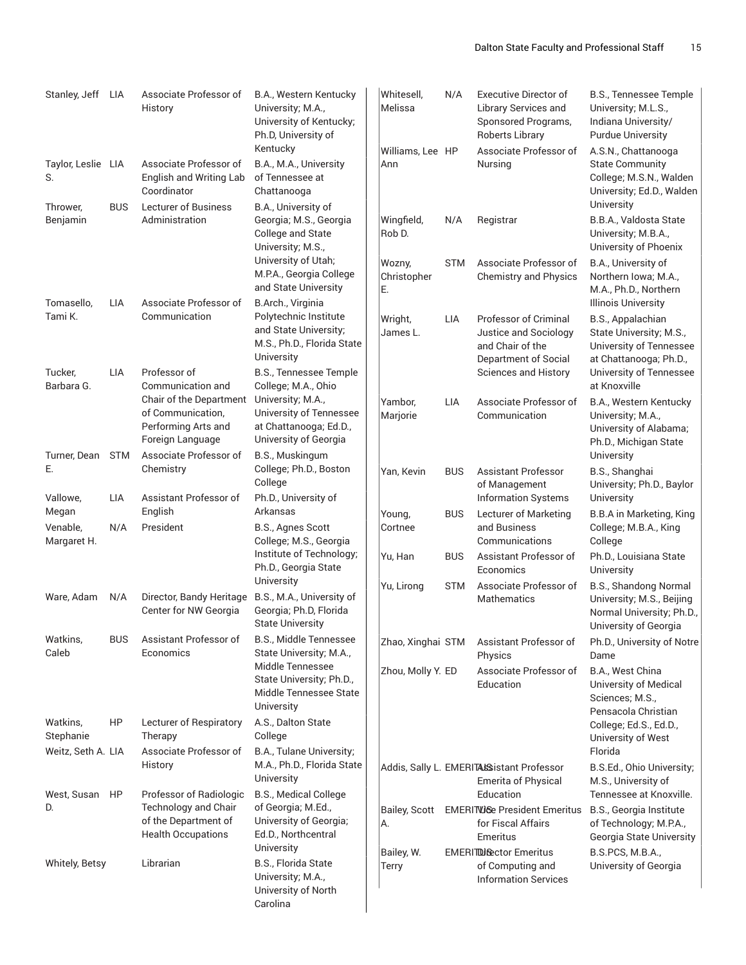| Stanley, Jeff LIA        |            | Associate Professor of<br>History                                         | B.A., Western Kentucky<br>University; M.A.,<br>University of Kentucky;<br>Ph.D, University of                   | Whitesell,<br>Melissa       | N/A        | <b>Executive Director of</b><br>Library Services and<br>Sponsored Programs,<br>Roberts Library | <b>B.S., Tennessee Temple</b><br>University; M.L.S.,<br>Indiana University/<br><b>Purdue University</b>                         |
|--------------------------|------------|---------------------------------------------------------------------------|-----------------------------------------------------------------------------------------------------------------|-----------------------------|------------|------------------------------------------------------------------------------------------------|---------------------------------------------------------------------------------------------------------------------------------|
| Taylor, Leslie LIA<br>S. |            | Associate Professor of<br>English and Writing Lab<br>Coordinator          | Kentucky<br>B.A., M.A., University<br>of Tennessee at<br>Chattanooga                                            | Williams, Lee HP<br>Ann     |            | Associate Professor of<br>Nursing                                                              | A.S.N., Chattanooga<br><b>State Community</b><br>College; M.S.N., Walden<br>University; Ed.D., Walden                           |
| Thrower,<br>Benjamin     | <b>BUS</b> | <b>Lecturer of Business</b><br>Administration                             | B.A., University of<br>Georgia; M.S., Georgia<br>College and State<br>University; M.S.,                         | Wingfield,<br>Rob D.        | N/A        | Registrar                                                                                      | University<br>B.B.A., Valdosta State<br>University; M.B.A.,<br>University of Phoenix                                            |
|                          |            |                                                                           | University of Utah;<br>M.P.A., Georgia College<br>and State University                                          | Wozny,<br>Christopher<br>E. | <b>STM</b> | Associate Professor of<br><b>Chemistry and Physics</b>                                         | B.A., University of<br>Northern Iowa; M.A.,<br>M.A., Ph.D., Northern                                                            |
| Tomasello,<br>Tami K.    | <b>LIA</b> | Associate Professor of<br>Communication                                   | B.Arch., Virginia<br>Polytechnic Institute<br>and State University;<br>M.S., Ph.D., Florida State<br>University | Wright,<br>James L.         | LIA        | Professor of Criminal<br>Justice and Sociology<br>and Chair of the<br>Department of Social     | <b>Illinois University</b><br>B.S., Appalachian<br>State University; M.S.,<br>University of Tennessee<br>at Chattanooga; Ph.D., |
| Tucker,<br>Barbara G.    | <b>LIA</b> | Professor of<br>Communication and<br>Chair of the Department              | B.S., Tennessee Temple<br>College; M.A., Ohio<br>University; M.A.,                                              | Yambor,                     | <b>LIA</b> | Sciences and History<br>Associate Professor of                                                 | University of Tennessee<br>at Knoxville<br>B.A., Western Kentucky                                                               |
|                          |            | of Communication,<br>Performing Arts and<br>Foreign Language              | University of Tennessee<br>at Chattanooga; Ed.D.,<br>University of Georgia                                      | Marjorie                    |            | Communication                                                                                  | University; M.A.,<br>University of Alabama;<br>Ph.D., Michigan State                                                            |
| Turner, Dean<br>Ε.       | <b>STM</b> | Associate Professor of<br>Chemistry                                       | B.S., Muskingum<br>College; Ph.D., Boston<br>College                                                            | Yan, Kevin                  | <b>BUS</b> | <b>Assistant Professor</b><br>of Management                                                    | University<br>B.S., Shanghai<br>University; Ph.D., Baylor                                                                       |
| Vallowe,<br>Megan        | LIA        | Assistant Professor of<br>English                                         | Ph.D., University of<br>Arkansas                                                                                | Young,                      | <b>BUS</b> | <b>Information Systems</b><br>Lecturer of Marketing                                            | University<br><b>B.B.A</b> in Marketing, King                                                                                   |
| Venable,<br>Margaret H.  | N/A        | President                                                                 | B.S., Agnes Scott<br>College; M.S., Georgia                                                                     | Cortnee                     |            | and Business<br>Communications                                                                 | College; M.B.A., King<br>College                                                                                                |
|                          |            |                                                                           | Institute of Technology;<br>Ph.D., Georgia State<br>University                                                  | Yu, Han                     | <b>BUS</b> | Assistant Professor of<br>Economics                                                            | Ph.D., Louisiana State<br>University                                                                                            |
| Ware, Adam               | N/A        | Director, Bandy Heritage<br>Center for NW Georgia                         | B.S., M.A., University of<br>Georgia; Ph.D, Florida<br><b>State University</b>                                  | Yu, Lirong                  | <b>STM</b> | Associate Professor of<br>Mathematics                                                          | B.S., Shandong Normal<br>University; M.S., Beijing<br>Normal University; Ph.D.,<br>University of Georgia                        |
| Watkins,<br>Caleb        | <b>BUS</b> | Assistant Professor of<br>Economics                                       | B.S., Middle Tennessee<br>State University; M.A.,                                                               | Zhao, Xinghai STM           |            | Assistant Professor of<br>Physics                                                              | Ph.D., University of Notre<br>Dame                                                                                              |
|                          |            |                                                                           | Middle Tennessee<br>State University; Ph.D.,<br>Middle Tennessee State<br>University                            | Zhou, Molly Y. ED           |            | Associate Professor of<br>Education                                                            | B.A., West China<br>University of Medical<br>Sciences; M.S.,<br>Pensacola Christian                                             |
| Watkins,<br>Stephanie    | HP         | Lecturer of Respiratory<br>Therapy                                        | A.S., Dalton State<br>College                                                                                   |                             |            |                                                                                                | College; Ed.S., Ed.D.,<br>University of West                                                                                    |
| Weitz, Seth A. LIA       |            | Associate Professor of<br>History                                         | B.A., Tulane University;<br>M.A., Ph.D., Florida State<br>University                                            |                             |            | Addis, Sally L. EMERITALS istant Professor                                                     | Florida<br>B.S.Ed., Ohio University;                                                                                            |
| West, Susan              | HP         | Professor of Radiologic                                                   | B.S., Medical College                                                                                           |                             |            | Emerita of Physical<br>Education                                                               | M.S., University of<br>Tennessee at Knoxville.                                                                                  |
| D.                       |            | Technology and Chair<br>of the Department of<br><b>Health Occupations</b> | of Georgia; M.Ed.,<br>University of Georgia;<br>Ed.D., Northcentral<br>University                               | <b>Bailey, Scott</b><br>А.  |            | <b>EMERITUGE President Emeritus</b><br>for Fiscal Affairs<br>Emeritus                          | B.S., Georgia Institute<br>of Technology; M.P.A.,<br>Georgia State University                                                   |
| Whitely, Betsy           |            | Librarian                                                                 | B.S., Florida State<br>University; M.A.,<br>University of North<br>Carolina                                     | Bailey, W.<br>Terry         |            | <b>EMERITDI C</b> ector Emeritus<br>of Computing and<br><b>Information Services</b>            | B.S.PCS, M.B.A.,<br>University of Georgia                                                                                       |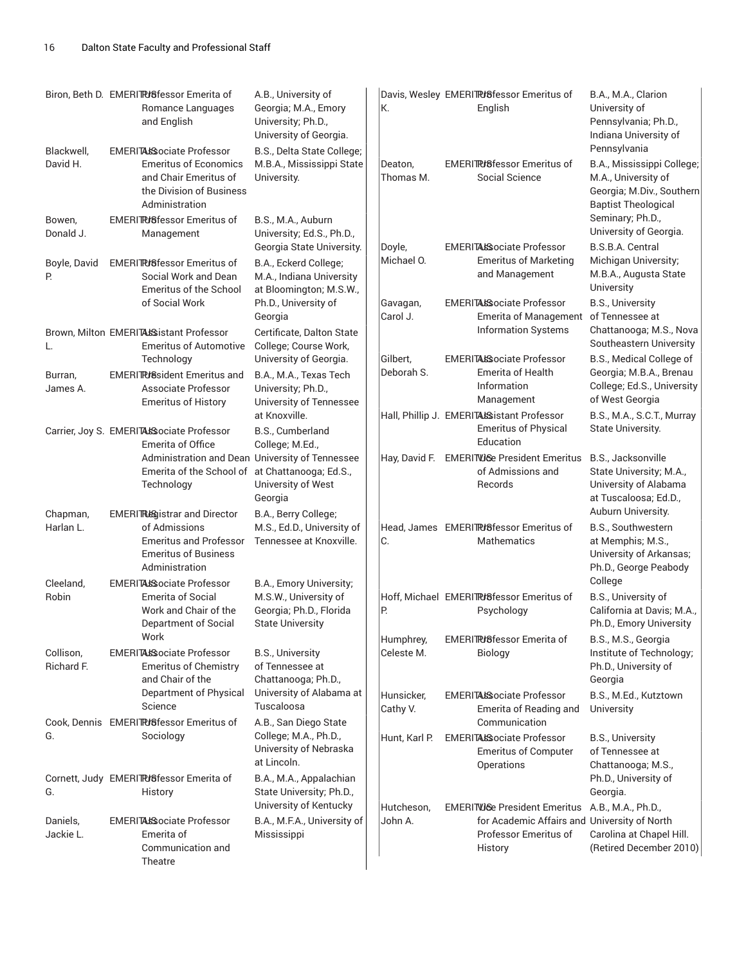|                         | Biron, Beth D. EMERITPUSfessor Emerita of<br>Romance Languages<br>and English                                                           | A.B., University of<br>Georgia; M.A., Emory<br>University; Ph.D.,<br>University of Georgia.               | К.                      | Davis, Wesley EMERITRISfessor Emeritus of<br>English                                                                                | B.A., M.A., Clarion<br>University of<br>Pennsylvania; Ph.D.,<br>Indiana University of                                        |
|-------------------------|-----------------------------------------------------------------------------------------------------------------------------------------|-----------------------------------------------------------------------------------------------------------|-------------------------|-------------------------------------------------------------------------------------------------------------------------------------|------------------------------------------------------------------------------------------------------------------------------|
| Blackwell,<br>David H.  | <b>EMERITALSociate Professor</b><br><b>Emeritus of Economics</b><br>and Chair Emeritus of<br>the Division of Business<br>Administration | B.S., Delta State College;<br>M.B.A., Mississippi State<br>University.                                    | Deaton,<br>Thomas M.    | <b>EMERITRI</b> 8fessor Emeritus of<br>Social Science                                                                               | Pennsylvania<br>B.A., Mississippi College;<br>M.A., University of<br>Georgia; M.Div., Southern<br><b>Baptist Theological</b> |
| Bowen,<br>Donald J.     | <b>EMERITRISfessor Emeritus of</b><br>Management                                                                                        | B.S., M.A., Auburn<br>University; Ed.S., Ph.D.,                                                           |                         | <b>EMERITAIS ociate Professor</b>                                                                                                   | Seminary; Ph.D.,<br>University of Georgia.                                                                                   |
| Boyle, David<br>Р.      | <b>EMERITRISfessor Emeritus of</b><br>Social Work and Dean<br><b>Emeritus of the School</b>                                             | Georgia State University.<br>B.A., Eckerd College;<br>M.A., Indiana University<br>at Bloomington; M.S.W., | Doyle,<br>Michael O.    | <b>Emeritus of Marketing</b><br>and Management                                                                                      | B.S.B.A. Central<br>Michigan University;<br>M.B.A., Augusta State<br>University                                              |
|                         | of Social Work<br>Brown, Milton EMERITALS istant Professor                                                                              | Ph.D., University of<br>Georgia<br>Certificate, Dalton State                                              | Gavagan,<br>Carol J.    | <b>EMERITALSociate Professor</b><br><b>Emerita of Management</b><br><b>Information Systems</b>                                      | B.S., University<br>of Tennessee at<br>Chattanooga; M.S., Nova                                                               |
| L.                      | <b>Emeritus of Automotive</b><br>Technology                                                                                             | College; Course Work,<br>University of Georgia.                                                           | Gilbert,                | <b>EMERITALSociate Professor</b>                                                                                                    | Southeastern University<br>B.S., Medical College of                                                                          |
| Burran,<br>James A.     | <b>EMERIT Puller Emeritus and</b><br>Associate Professor<br><b>Emeritus of History</b>                                                  | B.A., M.A., Texas Tech<br>University; Ph.D.,<br>University of Tennessee                                   | Deborah S.              | <b>Emerita of Health</b><br>Information<br>Management                                                                               | Georgia; M.B.A., Brenau<br>College; Ed.S., University<br>of West Georgia                                                     |
|                         | Carrier, Joy S. EMERITALS ociate Professor<br><b>Emerita of Office</b>                                                                  | at Knoxville.<br>B.S., Cumberland<br>College; M.Ed.,                                                      |                         | Hall, Phillip J. EMERITALS istant Professor<br><b>Emeritus of Physical</b><br>Education                                             | B.S., M.A., S.C.T., Murray<br>State University.                                                                              |
|                         | Administration and Dean University of Tennessee<br>Emerita of the School of at Chattanooga; Ed.S.,<br>Technology                        | University of West<br>Georgia                                                                             |                         | Hay, David F. EMERITVIGe President Emeritus<br>of Admissions and<br>Records                                                         | B.S., Jacksonville<br>State University; M.A.,<br>University of Alabama<br>at Tuscaloosa; Ed.D.,                              |
| Chapman,<br>Harlan L.   | <b>EMERITREGistrar and Director</b><br>of Admissions<br><b>Emeritus and Professor</b><br><b>Emeritus of Business</b><br>Administration  | B.A., Berry College;<br>M.S., Ed.D., University of<br>Tennessee at Knoxville.                             | C.                      | Head, James EMERITRISfessor Emeritus of<br>Mathematics                                                                              | Auburn University.<br>B.S., Southwestern<br>at Memphis; M.S.,<br>University of Arkansas;<br>Ph.D., George Peabody            |
| Cleeland,<br>Robin      | <b>EMERITALSociate Professor</b><br><b>Emerita of Social</b><br>Work and Chair of the<br>Department of Social                           | B.A., Emory University;<br>M.S.W., University of<br>Georgia; Ph.D., Florida<br><b>State University</b>    | Р.                      | Hoff, Michael EMERITRISfessor Emeritus of<br>Psychology                                                                             | College<br>B.S., University of<br>California at Davis; M.A.,<br>Ph.D., Emory University                                      |
| Collison,<br>Richard F. | Work<br><b>EMERITALSociate Professor</b><br><b>Emeritus of Chemistry</b><br>and Chair of the                                            | <b>B.S., University</b><br>of Tennessee at<br>Chattanooga; Ph.D.,                                         | Humphrey,<br>Celeste M. | EMERITRISfessor Emerita of<br><b>Biology</b>                                                                                        | B.S., M.S., Georgia<br>Institute of Technology;<br>Ph.D., University of<br>Georgia                                           |
|                         | Department of Physical<br>Science                                                                                                       | University of Alabama at<br>Tuscaloosa                                                                    | Hunsicker,<br>Cathy V.  | <b>EMERITALSociate Professor</b><br>Emerita of Reading and                                                                          | B.S., M.Ed., Kutztown<br>University                                                                                          |
| G.                      | Cook, Dennis EMERITRISfessor Emeritus of<br>Sociology                                                                                   | A.B., San Diego State<br>College; M.A., Ph.D.,<br>University of Nebraska<br>at Lincoln.                   | Hunt, Karl P.           | Communication<br><b>EMERITALSociate Professor</b><br><b>Emeritus of Computer</b><br>Operations                                      | B.S., University<br>of Tennessee at<br>Chattanooga; M.S.,                                                                    |
| G.                      | Cornett, Judy EMERITRUSfessor Emerita of<br>History                                                                                     | B.A., M.A., Appalachian<br>State University; Ph.D.,                                                       |                         |                                                                                                                                     | Ph.D., University of<br>Georgia.                                                                                             |
| Daniels,<br>Jackie L.   | <b>EMERITALSociate Professor</b><br>Emerita of<br>Communication and<br>Theatre                                                          | University of Kentucky<br>B.A., M.F.A., University of<br>Mississippi                                      | Hutcheson,<br>John A.   | EMERITUGe President Emeritus A.B., M.A., Ph.D.,<br>for Academic Affairs and University of North<br>Professor Emeritus of<br>History | Carolina at Chapel Hill.<br>(Retired December 2010)                                                                          |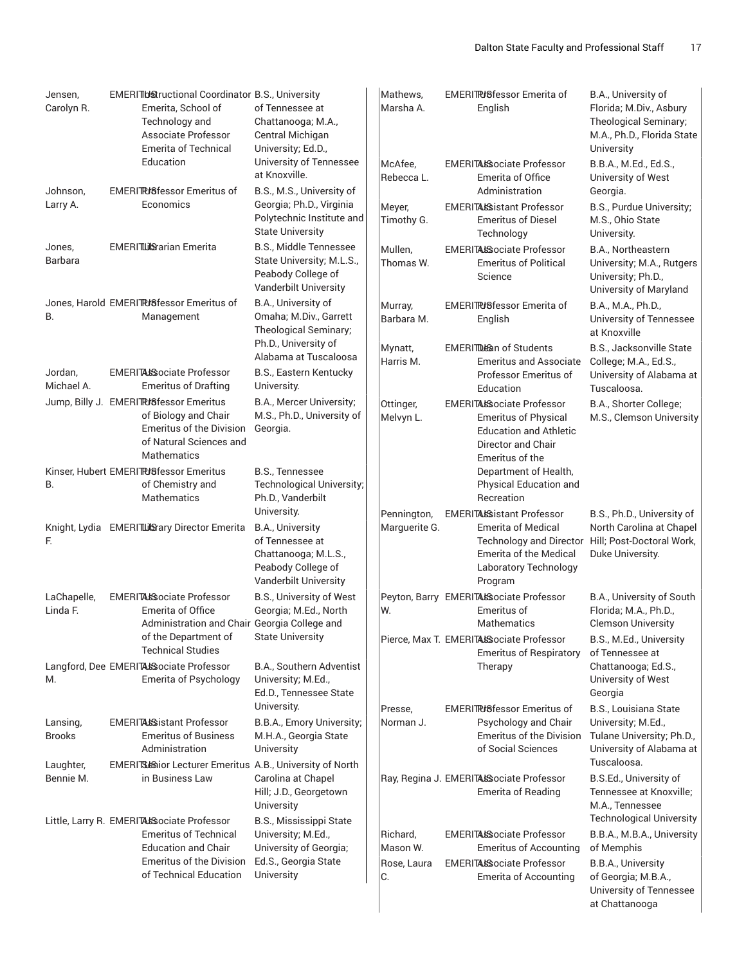|                           | Emerita, School of<br>Technology and<br>Associate Professor<br><b>Emerita of Technical</b>                                                                             | of Tennessee at<br>Chattanooga; M.A.,<br>Central Michigan<br>University; Ed.D.,                                                  | Marsha A.                                 | English                                                                                                                                   | Florida; M.Div., Asbury<br>Theological Seminary;<br>M.A., Ph.D., Florida State<br>University                                                                          |
|---------------------------|------------------------------------------------------------------------------------------------------------------------------------------------------------------------|----------------------------------------------------------------------------------------------------------------------------------|-------------------------------------------|-------------------------------------------------------------------------------------------------------------------------------------------|-----------------------------------------------------------------------------------------------------------------------------------------------------------------------|
| Johnson,                  | Education<br><b>EMERITRI</b> 8fessor Emeritus of                                                                                                                       | University of Tennessee<br>at Knoxville.<br>B.S., M.S., University of                                                            | McAfee.<br>Rebecca L.                     | EMERITALSociate Professor<br>Emerita of Office<br>Administration                                                                          | B.B.A., M.Ed., Ed.S.,<br>University of West<br>Georgia.                                                                                                               |
| Larry A.                  | Economics                                                                                                                                                              | Georgia; Ph.D., Virginia<br>Polytechnic Institute and<br><b>State University</b>                                                 | Meyer,<br>Timothy G.                      | EMERITALS istant Professor<br><b>Emeritus of Diesel</b><br>Technology                                                                     | B.S., Purdue University;<br>M.S., Ohio State<br>University.                                                                                                           |
| Jones,<br>Barbara         | <b>EMERITLilSrarian Emerita</b>                                                                                                                                        | B.S., Middle Tennessee<br>State University; M.L.S.,<br>Peabody College of<br>Vanderbilt University                               | Mullen,<br>Thomas W.                      | <b>EMERITALSociate Professor</b><br><b>Emeritus of Political</b><br>Science                                                               | B.A., Northeastern<br>University; M.A., Rutgers<br>University; Ph.D.,<br>University of Maryland                                                                       |
| В.                        | Jones, Harold EMERITRUSfessor Emeritus of<br>Management                                                                                                                | B.A., University of<br>Omaha; M.Div., Garrett<br>Theological Seminary;<br>Ph.D., University of                                   | Murray,<br>Barbara M.                     | <b>EMERITRISfessor Emerita of</b><br>English                                                                                              | B.A., M.A., Ph.D.,<br>University of Tennessee<br>at Knoxville                                                                                                         |
| Jordan,<br>Michael A.     | <b>EMERITALSociate Professor</b><br><b>Emeritus of Drafting</b>                                                                                                        | Alabama at Tuscaloosa<br>B.S., Eastern Kentucky<br>University.                                                                   | Mynatt,<br>Harris M.                      | <b>EMERITDE an of Students</b><br><b>Emeritus and Associate</b><br>Professor Emeritus of<br>Education                                     | B.S., Jacksonville State<br>College; M.A., Ed.S.,<br>University of Alabama at<br>Tuscaloosa.                                                                          |
|                           | Jump, Billy J. EMERITRISfessor Emeritus<br>of Biology and Chair<br><b>Emeritus of the Division</b><br>of Natural Sciences and<br><b>Mathematics</b>                    | B.A., Mercer University;<br>M.S., Ph.D., University of<br>Georgia.                                                               | Ottinger,<br>Melvyn L.                    | <b>EMERITALSociate Professor</b><br><b>Emeritus of Physical</b><br><b>Education and Athletic</b><br>Director and Chair<br>Emeritus of the | B.A., Shorter College;<br>M.S., Clemson University                                                                                                                    |
| В.                        | Kinser, Hubert EMERITPUSfessor Emeritus<br>of Chemistry and<br>Mathematics                                                                                             | B.S., Tennessee<br>Technological University;<br>Ph.D., Vanderbilt                                                                |                                           | Department of Health,<br>Physical Education and<br>Recreation                                                                             |                                                                                                                                                                       |
| F.                        | Knight, Lydia EMERITLISary Director Emerita                                                                                                                            | University.<br>B.A., University<br>of Tennessee at<br>Chattanooga; M.L.S.,<br>Peabody College of<br><b>Vanderbilt University</b> | Pennington,<br>Marguerite G.              | EMERITALS istant Professor<br><b>Emerita of Medical</b><br><b>Emerita of the Medical</b><br>Laboratory Technology<br>Program              | B.S., Ph.D., University of<br>North Carolina at Chapel<br>Technology and Director Hill; Post-Doctoral Work,<br>Duke University.                                       |
| LaChapelle,<br>Linda F.   | <b>EMERITALSociate Professor</b><br>Emerita of Office<br>Administration and Chair Georgia College and                                                                  | B.S., University of West<br>Georgia; M.Ed., North                                                                                | W.                                        | Peyton, Barry EMERITALSociate Professor<br>Emeritus of<br>Mathematics                                                                     | B.A., University of South<br>Florida; M.A., Ph.D.,<br><b>Clemson University</b>                                                                                       |
| M.                        | of the Department of<br><b>Technical Studies</b><br>Langford, Dee EMERITALSociate Professor<br><b>Emerita of Psychology</b>                                            | <b>State University</b><br>B.A., Southern Adventist<br>University; M.Ed.,                                                        |                                           | Pierce, Max T. EMERITALSociate Professor<br><b>Emeritus of Respiratory</b><br>Therapy                                                     | B.S., M.Ed., University<br>of Tennessee at<br>Chattanooga; Ed.S.,<br>University of West                                                                               |
|                           |                                                                                                                                                                        | Ed.D., Tennessee State<br>University.                                                                                            | Presse,                                   | <b>EMERITRI</b> 8fessor Emeritus of                                                                                                       | Georgia<br>B.S., Louisiana State                                                                                                                                      |
| Lansing,<br><b>Brooks</b> | <b>EMERITAIS istant Professor</b><br><b>Emeritus of Business</b><br>Administration                                                                                     | B.B.A., Emory University;<br>M.H.A., Georgia State<br>University                                                                 | Norman J.                                 | Psychology and Chair<br><b>Emeritus of the Division</b><br>of Social Sciences                                                             | University; M.Ed.,<br>Tulane University; Ph.D.,<br>University of Alabama at                                                                                           |
| Laughter,<br>Bennie M.    | EMERITS Bior Lecturer Emeritus A.B., University of North<br>in Business Law                                                                                            | Carolina at Chapel<br>Hill; J.D., Georgetown<br>University                                                                       |                                           | Ray, Regina J. EMERITALS ociate Professor<br><b>Emerita of Reading</b>                                                                    | Tuscaloosa.<br>B.S.Ed., University of<br>Tennessee at Knoxville;<br>M.A., Tennessee                                                                                   |
|                           | Little, Larry R. EMERITALSsociate Professor<br><b>Emeritus of Technical</b><br><b>Education and Chair</b><br><b>Emeritus of the Division</b><br>of Technical Education | B.S., Mississippi State<br>University; M.Ed.,<br>University of Georgia;<br>Ed.S., Georgia State<br>University                    | Richard,<br>Mason W.<br>Rose, Laura<br>C. | <b>EMERITALSociate Professor</b><br><b>Emeritus of Accounting</b><br><b>EMERITALSociate Professor</b><br><b>Emerita of Accounting</b>     | <b>Technological University</b><br>B.B.A., M.B.A., University<br>of Memphis<br>B.B.A., University<br>of Georgia; M.B.A.,<br>University of Tennessee<br>at Chattanooga |